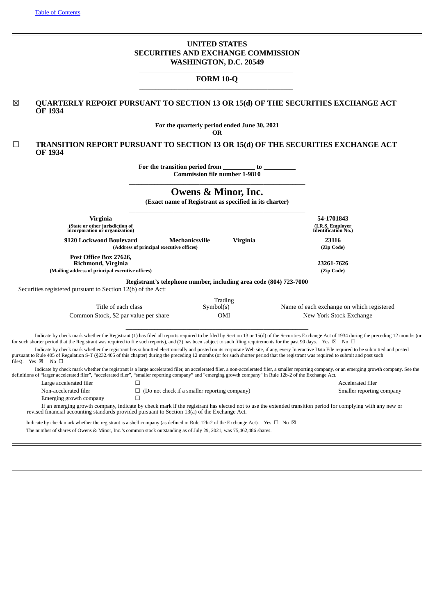# **UNITED STATES SECURITIES AND EXCHANGE COMMISSION WASHINGTON, D.C. 20549**

## \_\_\_\_\_\_\_\_\_\_\_\_\_\_\_\_\_\_\_\_\_\_\_\_\_\_\_\_\_\_\_\_\_\_\_\_\_\_\_\_\_\_\_\_\_\_\_\_ **FORM 10-Q** \_\_\_\_\_\_\_\_\_\_\_\_\_\_\_\_\_\_\_\_\_\_\_\_\_\_\_\_\_\_\_\_\_\_\_\_\_\_\_\_\_\_\_\_\_\_\_\_

☒ **QUARTERLY REPORT PURSUANT TO SECTION 13 OR 15(d) OF THE SECURITIES EXCHANGE ACT OF 1934**

**For the quarterly period ended June 30, 2021**

**OR**

☐ **TRANSITION REPORT PURSUANT TO SECTION 13 OR 15(d) OF THE SECURITIES EXCHANGE ACT OF 1934**

> **For the transition period from to Commission file number 1-9810**

# $\_$  , and the set of the set of the set of the set of the set of the set of the set of the set of the set of the set of the set of the set of the set of the set of the set of the set of the set of the set of the set of th **Owens & Minor, Inc.**

**(Exact name of Registrant as specified in its charter)**

| <b>Virginia</b>                                                                                                                                                                                                                                                                                                                                                                                     |                                                      |                      |                                                                   | 54-1701843                                                                                                                                                                                                                                                                                                                                                                                |
|-----------------------------------------------------------------------------------------------------------------------------------------------------------------------------------------------------------------------------------------------------------------------------------------------------------------------------------------------------------------------------------------------------|------------------------------------------------------|----------------------|-------------------------------------------------------------------|-------------------------------------------------------------------------------------------------------------------------------------------------------------------------------------------------------------------------------------------------------------------------------------------------------------------------------------------------------------------------------------------|
| (State or other jurisdiction of<br>incorporation or organization)                                                                                                                                                                                                                                                                                                                                   |                                                      |                      |                                                                   | (I.R.S. Employer<br>Identification No.)                                                                                                                                                                                                                                                                                                                                                   |
| 9120 Lockwood Boulevard                                                                                                                                                                                                                                                                                                                                                                             |                                                      | Mechanicsville       | Virginia                                                          | 23116                                                                                                                                                                                                                                                                                                                                                                                     |
|                                                                                                                                                                                                                                                                                                                                                                                                     | (Address of principal executive offices)             |                      |                                                                   | (Zip Code)                                                                                                                                                                                                                                                                                                                                                                                |
| Post Office Box 27626,<br>Richmond, Virginia                                                                                                                                                                                                                                                                                                                                                        |                                                      |                      |                                                                   | 23261-7626                                                                                                                                                                                                                                                                                                                                                                                |
| (Mailing address of principal executive offices)                                                                                                                                                                                                                                                                                                                                                    |                                                      |                      |                                                                   | (Zip Code)                                                                                                                                                                                                                                                                                                                                                                                |
|                                                                                                                                                                                                                                                                                                                                                                                                     |                                                      |                      | Registrant's telephone number, including area code (804) 723-7000 |                                                                                                                                                                                                                                                                                                                                                                                           |
| Securities registered pursuant to Section 12(b) of the Act:                                                                                                                                                                                                                                                                                                                                         |                                                      |                      |                                                                   |                                                                                                                                                                                                                                                                                                                                                                                           |
|                                                                                                                                                                                                                                                                                                                                                                                                     |                                                      |                      |                                                                   |                                                                                                                                                                                                                                                                                                                                                                                           |
| Title of each class                                                                                                                                                                                                                                                                                                                                                                                 |                                                      | Trading<br>Symbol(s) |                                                                   | Name of each exchange on which registered                                                                                                                                                                                                                                                                                                                                                 |
|                                                                                                                                                                                                                                                                                                                                                                                                     |                                                      | OMI                  |                                                                   |                                                                                                                                                                                                                                                                                                                                                                                           |
| Common Stock, \$2 par value per share                                                                                                                                                                                                                                                                                                                                                               |                                                      |                      |                                                                   | New York Stock Exchange                                                                                                                                                                                                                                                                                                                                                                   |
| for such shorter period that the Registrant was required to file such reports), and (2) has been subject to such filing requirements for the past 90 days. Yes $\boxtimes$ No $\Box$<br>pursuant to Rule 405 of Regulation S-T (§232.405 of this chapter) during the preceding 12 months (or for such shorter period that the registrant was required to submit and post such<br>files). Yes ⊠ No □ |                                                      |                      |                                                                   | Indicate by check mark whether the Registrant (1) has filed all reports required to be filed by Section 13 or 15(d) of the Securities Exchange Act of 1934 during the preceding 12 months (or<br>Indicate by check mark whether the registrant has submitted electronically and posted on its corporate Web site, if any, every Interactive Data File required to be submitted and posted |
| definitions of "larger accelerated filer", "accelerated filer", "smaller reporting company" and "emerging growth company" in Rule 12b-2 of the Exchange Act.                                                                                                                                                                                                                                        |                                                      |                      |                                                                   | Indicate by check mark whether the registrant is a large accelerated filer, an accelerated filer, a non-accelerated filer, a smaller reporting company, or an emerging growth company. See the                                                                                                                                                                                            |
| Large accelerated filer                                                                                                                                                                                                                                                                                                                                                                             |                                                      |                      |                                                                   | Accelerated filer                                                                                                                                                                                                                                                                                                                                                                         |
| Non-accelerated filer                                                                                                                                                                                                                                                                                                                                                                               | $\Box$ (Do not check if a smaller reporting company) |                      |                                                                   | Smaller reporting company                                                                                                                                                                                                                                                                                                                                                                 |
| Emerging growth company                                                                                                                                                                                                                                                                                                                                                                             |                                                      |                      |                                                                   |                                                                                                                                                                                                                                                                                                                                                                                           |
| revised financial accounting standards provided pursuant to Section 13(a) of the Exchange Act.                                                                                                                                                                                                                                                                                                      |                                                      |                      |                                                                   | If an emerging growth company, indicate by check mark if the registrant has elected not to use the extended transition period for complying with any new or                                                                                                                                                                                                                               |
| Indicate by check mark whether the registrant is a shell company (as defined in Rule 12b-2 of the Exchange Act). Yes $\square$ No $\boxtimes$                                                                                                                                                                                                                                                       |                                                      |                      |                                                                   |                                                                                                                                                                                                                                                                                                                                                                                           |

<span id="page-0-0"></span>The number of shares of Owens & Minor, Inc.'s common stock outstanding as of July 29, 2021, was 75,462,486 shares.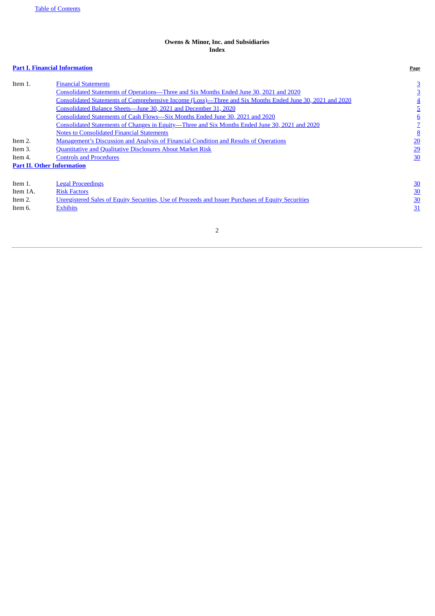## **Owens & Minor, Inc. and Subsidiaries Index**

# **Part I. Financial [Information](#page-1-0) Page**

<span id="page-1-0"></span>

| Item 1.                           | <b>Financial Statements</b><br>Consolidated Statements of Operations—Three and Six Months Ended June 30, 2021 and 2020<br>Consolidated Statements of Comprehensive Income (Loss)—Three and Six Months Ended June 30, 2021 and 2020 | 3               |
|-----------------------------------|------------------------------------------------------------------------------------------------------------------------------------------------------------------------------------------------------------------------------------|-----------------|
|                                   | Consolidated Balance Sheets-June 30, 2021 and December 31, 2020<br>Consolidated Statements of Cash Flows-Six Months Ended June 30, 2021 and 2020                                                                                   |                 |
|                                   | <u>Consolidated Statements of Changes in Equity—Three and Six Months Ended June 30, 2021 and 2020</u>                                                                                                                              | 6               |
|                                   | <b>Notes to Consolidated Financial Statements</b>                                                                                                                                                                                  | 8               |
| Item 2.                           | Management's Discussion and Analysis of Financial Condition and Results of Operations                                                                                                                                              | $\overline{20}$ |
| Item 3.                           | <b>Quantitative and Qualitative Disclosures About Market Risk</b>                                                                                                                                                                  | 29              |
| Item 4.                           | <b>Controls and Procedures</b>                                                                                                                                                                                                     | <b>30</b>       |
| <b>Part II. Other Information</b> |                                                                                                                                                                                                                                    |                 |
| Item 1.                           | <b>Legal Proceedings</b>                                                                                                                                                                                                           | <u>30</u>       |
| Item 1A.                          | <b>Risk Factors</b>                                                                                                                                                                                                                | 30              |
| Item 2.                           | <u>Unregistered Sales of Equity Securities, Use of Proceeds and Issuer Purchases of Equity Securities</u>                                                                                                                          | <u>30</u>       |
| Item 6.                           | <b>Exhibits</b>                                                                                                                                                                                                                    | 31              |
|                                   |                                                                                                                                                                                                                                    |                 |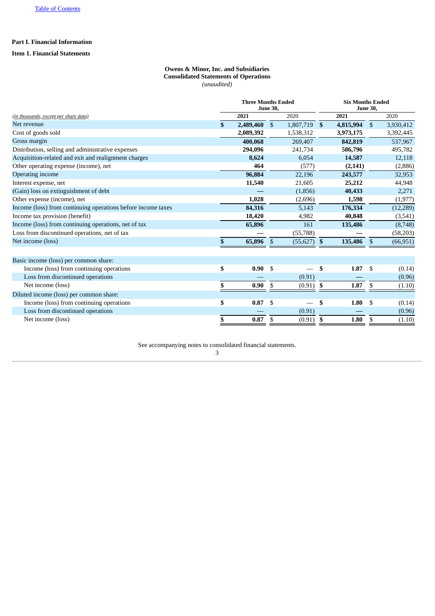## **Part I. Financial Information**

## <span id="page-2-1"></span><span id="page-2-0"></span>**Item 1. Financial Statements**

## **Owens & Minor, Inc. and Subsidiaries Consolidated Statements of Operations** *(unaudited)*

|                                                              | <b>Three Months Ended</b><br><b>June 30,</b> |           |    |                 |              |           | <b>Six Months Ended</b><br><b>June 30,</b> |           |  |
|--------------------------------------------------------------|----------------------------------------------|-----------|----|-----------------|--------------|-----------|--------------------------------------------|-----------|--|
| (in thousands, except per share data)                        |                                              | 2021      |    | 2020            |              | 2021      |                                            | 2020      |  |
| Net revenue                                                  | \$                                           | 2,489,460 | \$ | 1,807,719       | $\mathbf{s}$ | 4,815,994 | $\mathbf{s}$                               | 3,930,412 |  |
| Cost of goods sold                                           |                                              | 2,089,392 |    | 1,538,312       |              | 3,973,175 |                                            | 3,392,445 |  |
| Gross margin                                                 |                                              | 400,068   |    | 269,407         |              | 842,819   |                                            | 537,967   |  |
| Distribution, selling and administrative expenses            |                                              | 294,096   |    | 241,734         |              | 586,796   |                                            | 495,782   |  |
| Acquisition-related and exit and realignment charges         |                                              | 8,624     |    | 6,054           |              | 14,587    |                                            | 12,118    |  |
| Other operating expense (income), net                        |                                              | 464       |    | (577)           |              | (2, 141)  |                                            | (2,886)   |  |
| Operating income                                             |                                              | 96,884    |    | 22,196          |              | 243,577   |                                            | 32,953    |  |
| Interest expense, net                                        |                                              | 11,540    |    | 21,605          |              | 25,212    |                                            | 44,948    |  |
| (Gain) loss on extinguishment of debt                        |                                              |           |    | (1,856)         |              | 40,433    |                                            | 2,271     |  |
| Other expense (income), net                                  |                                              | 1.028     |    | (2,696)         |              | 1,598     |                                            | (1, 977)  |  |
| Income (loss) from continuing operations before income taxes |                                              | 84,316    |    | 5,143           |              | 176,334   |                                            | (12, 289) |  |
| Income tax provision (benefit)                               |                                              | 18,420    |    | 4,982           |              | 40,848    |                                            | (3,541)   |  |
| Income (loss) from continuing operations, net of tax         |                                              | 65,896    |    | 161             |              | 135,486   |                                            | (8,748)   |  |
| Loss from discontinued operations, net of tax                |                                              |           |    | (55, 788)       |              |           |                                            | (58, 203) |  |
| Net income (loss)                                            | \$                                           | 65,896    | \$ | (55, 627)       | -\$          | 135,486   | -\$                                        | (66, 951) |  |
|                                                              |                                              |           |    |                 |              |           |                                            |           |  |
| Basic income (loss) per common share:                        |                                              |           |    |                 |              |           |                                            |           |  |
| Income (loss) from continuing operations                     | \$                                           | 0.90      | \$ | $\qquad \qquad$ | \$           | 1.87      | Ŝ.                                         | (0.14)    |  |
| Loss from discontinued operations                            |                                              |           |    | (0.91)          |              |           |                                            | (0.96)    |  |
| Net income (loss)                                            | \$                                           | 0.90      | \$ | (0.91)          | -\$          | 1.87      | S.                                         | (1.10)    |  |
| Diluted income (loss) per common share:                      |                                              |           |    |                 |              |           |                                            |           |  |
| Income (loss) from continuing operations                     | \$                                           | 0.87      | \$ |                 | \$           | 1.80      | -\$                                        | (0.14)    |  |
| Loss from discontinued operations                            |                                              |           |    | (0.91)          |              |           |                                            | (0.96)    |  |
| Net income (loss)                                            | \$                                           | 0.87      | \$ | (0.91)          | -\$          | 1.80      | \$                                         | (1.10)    |  |

<span id="page-2-2"></span>See accompanying notes to consolidated financial statements.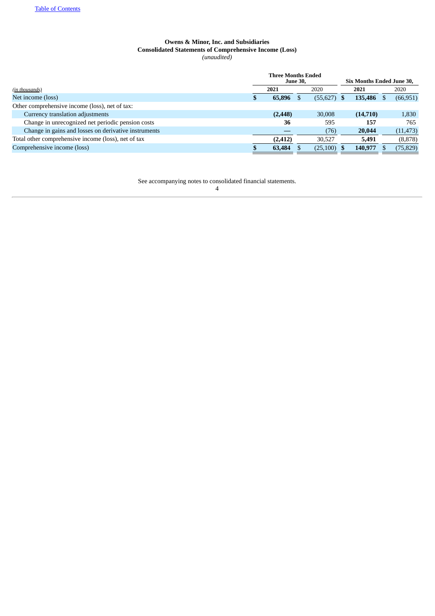## **Owens & Minor, Inc. and Subsidiaries Consolidated Statements of Comprehensive Income (Loss)** *(unaudited)*

<span id="page-3-0"></span>

|                                                      | <b>Three Months Ended</b> | <b>June 30,</b> |               | Six Months Ended June 30, |      |           |
|------------------------------------------------------|---------------------------|-----------------|---------------|---------------------------|------|-----------|
| (in thousands)                                       | 2021                      |                 | 2020          | 2021                      | 2020 |           |
| Net income (loss)                                    | 65,896                    |                 | $(55,627)$ \$ | 135,486                   |      | (66, 951) |
| Other comprehensive income (loss), net of tax:       |                           |                 |               |                           |      |           |
| Currency translation adjustments                     | (2, 448)                  |                 | 30,008        | (14,710)                  |      | 1,830     |
| Change in unrecognized net periodic pension costs    | 36                        |                 | 595           | 157                       |      | 765       |
| Change in gains and losses on derivative instruments |                           |                 | (76)          | 20,044                    |      | (11, 473) |
| Total other comprehensive income (loss), net of tax  | (2, 412)                  |                 | 30,527        | 5,491                     |      | (8,878)   |
| Comprehensive income (loss)                          | 63,484                    |                 | $(25,100)$ \$ | 140,977                   |      | (75, 829) |
|                                                      |                           |                 |               |                           |      |           |

See accompanying notes to consolidated financial statements.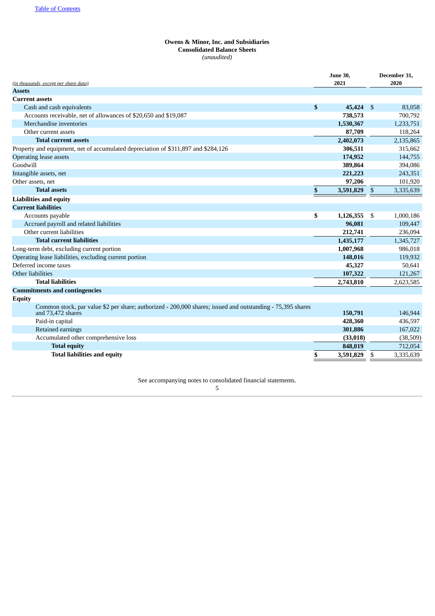## **Owens & Minor, Inc. and Subsidiaries Consolidated Balance Sheets** *(unaudited)*

| (in thousands, except per share data)                                                                                           | <b>June 30,</b><br>2021 |              | December 31,<br>2020 |
|---------------------------------------------------------------------------------------------------------------------------------|-------------------------|--------------|----------------------|
| <b>Assets</b>                                                                                                                   |                         |              |                      |
| <b>Current assets</b>                                                                                                           |                         |              |                      |
| Cash and cash equivalents                                                                                                       | \$<br>45,424            | - \$         | 83,058               |
| Accounts receivable, net of allowances of \$20,650 and \$19,087                                                                 | 738,573                 |              | 700,792              |
| Merchandise inventories                                                                                                         | 1,530,367               |              | 1,233,751            |
| Other current assets                                                                                                            | 87,709                  |              | 118,264              |
| <b>Total current assets</b>                                                                                                     | 2,402,073               |              | 2,135,865            |
| Property and equipment, net of accumulated depreciation of \$311,897 and \$284,126                                              | 306,511                 |              | 315,662              |
| <b>Operating lease assets</b>                                                                                                   | 174,952                 |              | 144,755              |
| Goodwill                                                                                                                        | 389,864                 |              | 394,086              |
| Intangible assets, net                                                                                                          | 221,223                 |              | 243,351              |
| Other assets, net                                                                                                               | 97,206                  |              | 101,920              |
| <b>Total assets</b>                                                                                                             | \$<br>3,591,829         | $\mathbb{S}$ | 3,335,639            |
| <b>Liabilities and equity</b>                                                                                                   |                         |              |                      |
| <b>Current liabilities</b>                                                                                                      |                         |              |                      |
| Accounts payable                                                                                                                | \$<br>1,126,355         | -\$          | 1,000,186            |
| Accrued payroll and related liabilities                                                                                         | 96,081                  |              | 109,447              |
| Other current liabilities                                                                                                       | 212,741                 |              | 236,094              |
| <b>Total current liabilities</b>                                                                                                | 1,435,177               |              | 1,345,727            |
| Long-term debt, excluding current portion                                                                                       | 1,007,968               |              | 986,018              |
| Operating lease liabilities, excluding current portion                                                                          | 148,016                 |              | 119,932              |
| Deferred income taxes                                                                                                           | 45,327                  |              | 50,641               |
| Other liabilities                                                                                                               | 107,322                 |              | 121,267              |
| <b>Total liabilities</b>                                                                                                        | 2,743,810               |              | 2,623,585            |
| <b>Commitments and contingencies</b>                                                                                            |                         |              |                      |
| <b>Equity</b>                                                                                                                   |                         |              |                      |
| Common stock, par value \$2 per share; authorized - 200,000 shares; issued and outstanding - 75,395 shares<br>and 73,472 shares | 150,791                 |              | 146,944              |
| Paid-in capital                                                                                                                 | 428,360                 |              | 436,597              |
| Retained earnings                                                                                                               | 301,886                 |              | 167,022              |
| Accumulated other comprehensive loss                                                                                            | (33,018)                |              | (38, 509)            |
| <b>Total equity</b>                                                                                                             | 848,019                 |              | 712,054              |
| <b>Total liabilities and equity</b>                                                                                             | \$<br>3,591,829         | \$           | 3,335,639            |

<span id="page-4-0"></span>See accompanying notes to consolidated financial statements.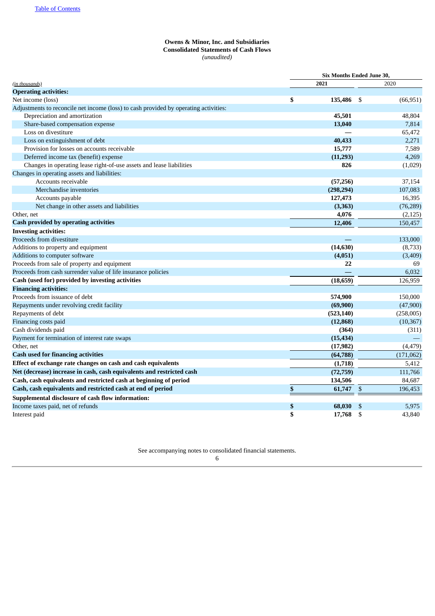## **Owens & Minor, Inc. and Subsidiaries Consolidated Statements of Cash Flows** *(unaudited)*

|                                                                                      | Six Months Ended June 30, |                  |                |                 |  |  |  |  |
|--------------------------------------------------------------------------------------|---------------------------|------------------|----------------|-----------------|--|--|--|--|
| (in thousands)                                                                       |                           | 2021             |                | 2020            |  |  |  |  |
| <b>Operating activities:</b>                                                         |                           |                  |                |                 |  |  |  |  |
| Net income (loss)                                                                    | \$                        | 135,486          | -\$            | (66, 951)       |  |  |  |  |
| Adjustments to reconcile net income (loss) to cash provided by operating activities: |                           |                  |                |                 |  |  |  |  |
| Depreciation and amortization                                                        |                           | 45,501           |                | 48,804          |  |  |  |  |
| Share-based compensation expense                                                     |                           | 13,040           |                | 7,814           |  |  |  |  |
| Loss on divestiture                                                                  |                           |                  |                | 65,472          |  |  |  |  |
| Loss on extinguishment of debt                                                       |                           | 40,433           |                | 2,271           |  |  |  |  |
| Provision for losses on accounts receivable                                          |                           | 15,777           |                | 7,589           |  |  |  |  |
| Deferred income tax (benefit) expense                                                |                           | (11,293)         |                | 4,269           |  |  |  |  |
| Changes in operating lease right-of-use assets and lease liabilities                 |                           | 826              |                | (1,029)         |  |  |  |  |
| Changes in operating assets and liabilities:                                         |                           |                  |                |                 |  |  |  |  |
| Accounts receivable                                                                  |                           | (57,256)         |                | 37,154          |  |  |  |  |
| Merchandise inventories                                                              |                           | (298, 294)       |                | 107,083         |  |  |  |  |
| Accounts payable                                                                     |                           | 127,473          |                | 16,395          |  |  |  |  |
| Net change in other assets and liabilities                                           |                           | (3, 363)         |                | (76, 289)       |  |  |  |  |
| Other, net                                                                           |                           | 4,076            |                | (2, 125)        |  |  |  |  |
| <b>Cash provided by operating activities</b>                                         |                           | 12,406           |                | 150,457         |  |  |  |  |
| <b>Investing activities:</b>                                                         |                           |                  |                |                 |  |  |  |  |
| Proceeds from divestiture                                                            |                           |                  |                | 133,000         |  |  |  |  |
| Additions to property and equipment                                                  |                           | (14, 630)        |                | (8,733)         |  |  |  |  |
| Additions to computer software                                                       |                           | (4,051)          |                | (3, 409)        |  |  |  |  |
| Proceeds from sale of property and equipment                                         |                           | 22               |                | 69              |  |  |  |  |
| Proceeds from cash surrender value of life insurance policies                        |                           |                  |                | 6,032           |  |  |  |  |
| Cash (used for) provided by investing activities                                     |                           | (18, 659)        |                | 126,959         |  |  |  |  |
| <b>Financing activities:</b>                                                         |                           |                  |                |                 |  |  |  |  |
| Proceeds from issuance of debt                                                       |                           | 574,900          |                | 150,000         |  |  |  |  |
| Repayments under revolving credit facility                                           |                           | (69,900)         |                | (47,900)        |  |  |  |  |
| Repayments of debt                                                                   |                           | (523, 140)       |                | (258,005)       |  |  |  |  |
| Financing costs paid                                                                 |                           | (12, 868)        |                | (10, 367)       |  |  |  |  |
| Cash dividends paid                                                                  |                           | (364)            |                | (311)           |  |  |  |  |
| Payment for termination of interest rate swaps                                       |                           | (15, 434)        |                |                 |  |  |  |  |
| Other, net                                                                           |                           | (17, 982)        |                | (4, 479)        |  |  |  |  |
| <b>Cash used for financing activities</b>                                            |                           | (64, 788)        |                | (171,062)       |  |  |  |  |
| Effect of exchange rate changes on cash and cash equivalents                         |                           | (1,718)          |                | 5,412           |  |  |  |  |
| Net (decrease) increase in cash, cash equivalents and restricted cash                |                           | (72, 759)        |                | 111,766         |  |  |  |  |
| Cash, cash equivalents and restricted cash at beginning of period                    |                           | 134,506          |                | 84,687          |  |  |  |  |
| Cash, cash equivalents and restricted cash at end of period                          | \$                        | 61,747           | $\mathfrak{S}$ | 196,453         |  |  |  |  |
| Supplemental disclosure of cash flow information:                                    |                           |                  |                |                 |  |  |  |  |
| Income taxes paid, net of refunds                                                    |                           |                  | \$             |                 |  |  |  |  |
|                                                                                      | \$<br>\$                  | 68,030<br>17,768 | \$             | 5,975<br>43,840 |  |  |  |  |
| Interest paid                                                                        |                           |                  |                |                 |  |  |  |  |

<span id="page-5-0"></span>See accompanying notes to consolidated financial statements.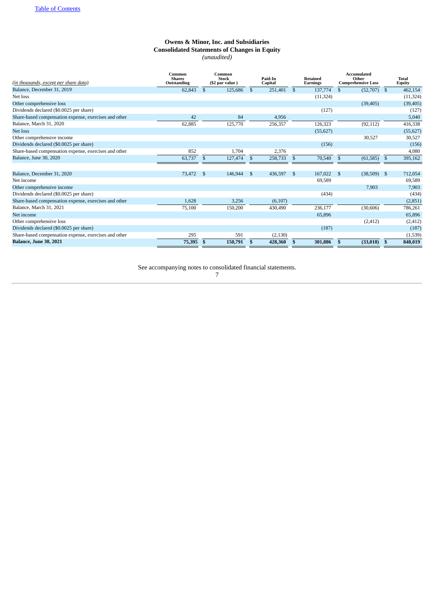## **Owens & Minor, Inc. and Subsidiaries Consolidated Statements of Changes in Equity** *(unaudited)*

| Balance, December 31, 2019<br>62,843<br>125,686<br>251,401<br>137,774<br>$(52,707)$ \$<br>$\mathbb{S}$<br>$\mathbf{s}$<br>$\mathfrak{S}$<br>S.<br>Net loss<br>(11, 324)<br>Other comprehensive loss<br>(39, 405)<br>Dividends declared (\$0.0025 per share)<br>(127)<br>Share-based compensation expense, exercises and other<br>84<br>42<br>4,956<br>Balance, March 31, 2020<br>62,885<br>125,770<br>256,357<br>126,323<br>(92, 112)<br>Net loss<br>(55, 627)<br>Other comprehensive income<br>30,527<br>Dividends declared (\$0.0025 per share)<br>(156)<br>852<br>1,704<br>2,376<br>Share-based compensation expense, exercises and other<br>Balance, June 30, 2020<br>63,737<br>$\mathfrak{S}$<br>(61, 585)<br>\$<br>127,474<br>258,733<br>$\mathbb{S}$<br>70,540<br>-\$<br>-S<br>Balance, December 31, 2020<br>146,944<br>436,597<br>167,022<br>$(38,509)$ \$<br>73,472<br>-\$<br>\$<br>$\mathfrak{F}$<br>- \$<br>Net income<br>69,589<br>Other comprehensive income<br>7,903<br>Dividends declared (\$0.0025 per share)<br>(434)<br>Share-based compensation expense, exercises and other<br>1,628<br>3,256<br>(6,107)<br>Balance, March 31, 2021<br>236,177<br>(30,606)<br>75,100<br>150,200<br>430,490<br>Net income<br>65,896<br>Other comprehensive loss<br>(2, 412)<br>Dividends declared (\$0.0025 per share)<br>(187)<br>295<br>591<br>Share-based compensation expense, exercises and other<br>(2, 130)<br><b>Balance, June 30, 2021</b><br>75,395<br>150,791<br>428,360<br>301,886<br>(33,018)<br>\$<br>\$<br>\$<br>-S<br><sup>\$</sup> | (in thousands, except per share data) | Common<br><b>Shares</b><br>Outstanding | Common<br><b>Stock</b><br>(\$2 par value ) | Paid-In<br>Capital | <b>Retained</b><br><b>Earnings</b> | <b>Accumulated</b><br>Other<br><b>Comprehensive Loss</b> | <b>Total</b><br>Equity |
|--------------------------------------------------------------------------------------------------------------------------------------------------------------------------------------------------------------------------------------------------------------------------------------------------------------------------------------------------------------------------------------------------------------------------------------------------------------------------------------------------------------------------------------------------------------------------------------------------------------------------------------------------------------------------------------------------------------------------------------------------------------------------------------------------------------------------------------------------------------------------------------------------------------------------------------------------------------------------------------------------------------------------------------------------------------------------------------------------------------------------------------------------------------------------------------------------------------------------------------------------------------------------------------------------------------------------------------------------------------------------------------------------------------------------------------------------------------------------------------------------------------------------------------------------------|---------------------------------------|----------------------------------------|--------------------------------------------|--------------------|------------------------------------|----------------------------------------------------------|------------------------|
|                                                                                                                                                                                                                                                                                                                                                                                                                                                                                                                                                                                                                                                                                                                                                                                                                                                                                                                                                                                                                                                                                                                                                                                                                                                                                                                                                                                                                                                                                                                                                        |                                       |                                        |                                            |                    |                                    |                                                          | 462,154                |
|                                                                                                                                                                                                                                                                                                                                                                                                                                                                                                                                                                                                                                                                                                                                                                                                                                                                                                                                                                                                                                                                                                                                                                                                                                                                                                                                                                                                                                                                                                                                                        |                                       |                                        |                                            |                    |                                    |                                                          | (11, 324)              |
|                                                                                                                                                                                                                                                                                                                                                                                                                                                                                                                                                                                                                                                                                                                                                                                                                                                                                                                                                                                                                                                                                                                                                                                                                                                                                                                                                                                                                                                                                                                                                        |                                       |                                        |                                            |                    |                                    |                                                          | (39, 405)              |
|                                                                                                                                                                                                                                                                                                                                                                                                                                                                                                                                                                                                                                                                                                                                                                                                                                                                                                                                                                                                                                                                                                                                                                                                                                                                                                                                                                                                                                                                                                                                                        |                                       |                                        |                                            |                    |                                    |                                                          | (127)                  |
|                                                                                                                                                                                                                                                                                                                                                                                                                                                                                                                                                                                                                                                                                                                                                                                                                                                                                                                                                                                                                                                                                                                                                                                                                                                                                                                                                                                                                                                                                                                                                        |                                       |                                        |                                            |                    |                                    |                                                          | 5,040                  |
|                                                                                                                                                                                                                                                                                                                                                                                                                                                                                                                                                                                                                                                                                                                                                                                                                                                                                                                                                                                                                                                                                                                                                                                                                                                                                                                                                                                                                                                                                                                                                        |                                       |                                        |                                            |                    |                                    |                                                          | 416,338                |
|                                                                                                                                                                                                                                                                                                                                                                                                                                                                                                                                                                                                                                                                                                                                                                                                                                                                                                                                                                                                                                                                                                                                                                                                                                                                                                                                                                                                                                                                                                                                                        |                                       |                                        |                                            |                    |                                    |                                                          | (55, 627)              |
|                                                                                                                                                                                                                                                                                                                                                                                                                                                                                                                                                                                                                                                                                                                                                                                                                                                                                                                                                                                                                                                                                                                                                                                                                                                                                                                                                                                                                                                                                                                                                        |                                       |                                        |                                            |                    |                                    |                                                          | 30,527                 |
|                                                                                                                                                                                                                                                                                                                                                                                                                                                                                                                                                                                                                                                                                                                                                                                                                                                                                                                                                                                                                                                                                                                                                                                                                                                                                                                                                                                                                                                                                                                                                        |                                       |                                        |                                            |                    |                                    |                                                          | (156)                  |
|                                                                                                                                                                                                                                                                                                                                                                                                                                                                                                                                                                                                                                                                                                                                                                                                                                                                                                                                                                                                                                                                                                                                                                                                                                                                                                                                                                                                                                                                                                                                                        |                                       |                                        |                                            |                    |                                    |                                                          | 4,080                  |
|                                                                                                                                                                                                                                                                                                                                                                                                                                                                                                                                                                                                                                                                                                                                                                                                                                                                                                                                                                                                                                                                                                                                                                                                                                                                                                                                                                                                                                                                                                                                                        |                                       |                                        |                                            |                    |                                    |                                                          | 395,162                |
|                                                                                                                                                                                                                                                                                                                                                                                                                                                                                                                                                                                                                                                                                                                                                                                                                                                                                                                                                                                                                                                                                                                                                                                                                                                                                                                                                                                                                                                                                                                                                        |                                       |                                        |                                            |                    |                                    |                                                          |                        |
|                                                                                                                                                                                                                                                                                                                                                                                                                                                                                                                                                                                                                                                                                                                                                                                                                                                                                                                                                                                                                                                                                                                                                                                                                                                                                                                                                                                                                                                                                                                                                        |                                       |                                        |                                            |                    |                                    |                                                          | 712,054                |
|                                                                                                                                                                                                                                                                                                                                                                                                                                                                                                                                                                                                                                                                                                                                                                                                                                                                                                                                                                                                                                                                                                                                                                                                                                                                                                                                                                                                                                                                                                                                                        |                                       |                                        |                                            |                    |                                    |                                                          | 69,589                 |
|                                                                                                                                                                                                                                                                                                                                                                                                                                                                                                                                                                                                                                                                                                                                                                                                                                                                                                                                                                                                                                                                                                                                                                                                                                                                                                                                                                                                                                                                                                                                                        |                                       |                                        |                                            |                    |                                    |                                                          | 7,903                  |
|                                                                                                                                                                                                                                                                                                                                                                                                                                                                                                                                                                                                                                                                                                                                                                                                                                                                                                                                                                                                                                                                                                                                                                                                                                                                                                                                                                                                                                                                                                                                                        |                                       |                                        |                                            |                    |                                    |                                                          | (434)                  |
|                                                                                                                                                                                                                                                                                                                                                                                                                                                                                                                                                                                                                                                                                                                                                                                                                                                                                                                                                                                                                                                                                                                                                                                                                                                                                                                                                                                                                                                                                                                                                        |                                       |                                        |                                            |                    |                                    |                                                          | (2,851)                |
|                                                                                                                                                                                                                                                                                                                                                                                                                                                                                                                                                                                                                                                                                                                                                                                                                                                                                                                                                                                                                                                                                                                                                                                                                                                                                                                                                                                                                                                                                                                                                        |                                       |                                        |                                            |                    |                                    |                                                          | 786,261                |
|                                                                                                                                                                                                                                                                                                                                                                                                                                                                                                                                                                                                                                                                                                                                                                                                                                                                                                                                                                                                                                                                                                                                                                                                                                                                                                                                                                                                                                                                                                                                                        |                                       |                                        |                                            |                    |                                    |                                                          | 65,896                 |
|                                                                                                                                                                                                                                                                                                                                                                                                                                                                                                                                                                                                                                                                                                                                                                                                                                                                                                                                                                                                                                                                                                                                                                                                                                                                                                                                                                                                                                                                                                                                                        |                                       |                                        |                                            |                    |                                    |                                                          | (2, 412)               |
|                                                                                                                                                                                                                                                                                                                                                                                                                                                                                                                                                                                                                                                                                                                                                                                                                                                                                                                                                                                                                                                                                                                                                                                                                                                                                                                                                                                                                                                                                                                                                        |                                       |                                        |                                            |                    |                                    |                                                          | (187)                  |
|                                                                                                                                                                                                                                                                                                                                                                                                                                                                                                                                                                                                                                                                                                                                                                                                                                                                                                                                                                                                                                                                                                                                                                                                                                                                                                                                                                                                                                                                                                                                                        |                                       |                                        |                                            |                    |                                    |                                                          | (1,539)                |
|                                                                                                                                                                                                                                                                                                                                                                                                                                                                                                                                                                                                                                                                                                                                                                                                                                                                                                                                                                                                                                                                                                                                                                                                                                                                                                                                                                                                                                                                                                                                                        |                                       |                                        |                                            |                    |                                    |                                                          | 848,019                |

<span id="page-6-0"></span>See accompanying notes to consolidated financial statements.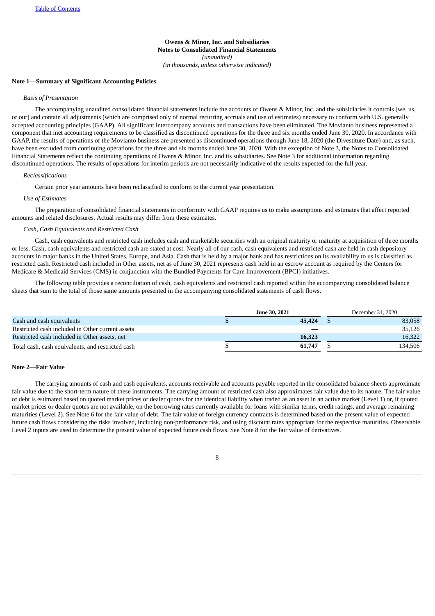**Owens & Minor, Inc. and Subsidiaries Notes to Consolidated Financial Statements** *(unaudited) (in thousands, unless otherwise indicated)*

#### **Note 1—Summary of Significant Accounting Policies**

#### *Basis of Presentation*

The accompanying unaudited consolidated financial statements include the accounts of Owens & Minor, Inc. and the subsidiaries it controls (we, us, or our) and contain all adjustments (which are comprised only of normal recurring accruals and use of estimates) necessary to conform with U.S. generally accepted accounting principles (GAAP). All significant intercompany accounts and transactions have been eliminated. The Movianto business represented a component that met accounting requirements to be classified as discontinued operations for the three and six months ended June 30, 2020. In accordance with GAAP, the results of operations of the Movianto business are presented as discontinued operations through June 18, 2020 (the Divestiture Date) and, as such, have been excluded from continuing operations for the three and six months ended June 30, 2020. With the exception of Note 3, the Notes to Consolidated Financial Statements reflect the continuing operations of Owens & Minor, Inc. and its subsidiaries. See Note 3 for additional information regarding discontinued operations. The results of operations for interim periods are not necessarily indicative of the results expected for the full year.

#### *Reclassifications*

Certain prior year amounts have been reclassified to conform to the current year presentation.

#### *Use of Estimates*

The preparation of consolidated financial statements in conformity with GAAP requires us to make assumptions and estimates that affect reported amounts and related disclosures. Actual results may differ from these estimates.

### *Cash, Cash Equivalents and Restricted Cash*

Cash, cash equivalents and restricted cash includes cash and marketable securities with an original maturity or maturity at acquisition of three months or less. Cash, cash equivalents and restricted cash are stated at cost. Nearly all of our cash, cash equivalents and restricted cash are held in cash depository accounts in major banks in the United States, Europe, and Asia. Cash that is held by a major bank and has restrictions on its availability to us is classified as restricted cash. Restricted cash included in Other assets, net as of June 30, 2021 represents cash held in an escrow account as required by the Centers for Medicare & Medicaid Services (CMS) in conjunction with the Bundled Payments for Care Improvement (BPCI) initiatives.

The following table provides a reconciliation of cash, cash equivalents and restricted cash reported within the accompanying consolidated balance sheets that sum to the total of those same amounts presented in the accompanying consolidated statements of cash flows.

|                                                   | <b>June 30, 2021</b> | December 31, 2020 |
|---------------------------------------------------|----------------------|-------------------|
| Cash and cash equivalents                         | 45,424               | 83,058            |
| Restricted cash included in Other current assets  |                      | 35.126            |
| Restricted cash included in Other assets, net     | 16,323               | 16.322            |
| Total cash, cash equivalents, and restricted cash | 61,747               | 134,506           |

### **Note 2—Fair Value**

The carrying amounts of cash and cash equivalents, accounts receivable and accounts payable reported in the consolidated balance sheets approximate fair value due to the short-term nature of these instruments. The carrying amount of restricted cash also approximates fair value due to its nature. The fair value of debt is estimated based on quoted market prices or dealer quotes for the identical liability when traded as an asset in an active market (Level 1) or, if quoted market prices or dealer quotes are not available, on the borrowing rates currently available for loans with similar terms, credit ratings, and average remaining maturities (Level 2). See Note 6 for the fair value of debt. The fair value of foreign currency contracts is determined based on the present value of expected future cash flows considering the risks involved, including non-performance risk, and using discount rates appropriate for the respective maturities. Observable Level 2 inputs are used to determine the present value of expected future cash flows. See Note 8 for the fair value of derivatives.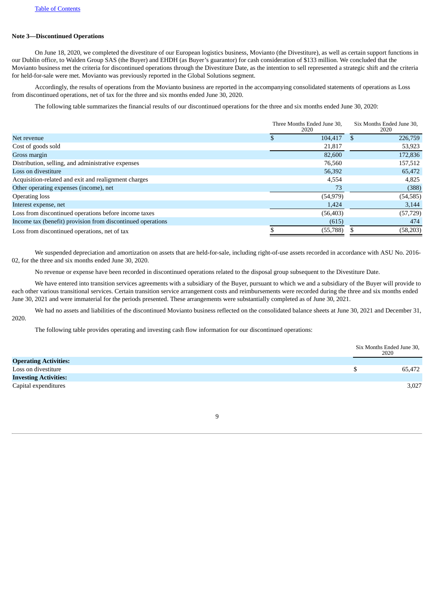# **Note 3—Discontinued Operations**

On June 18, 2020, we completed the divestiture of our European logistics business, Movianto (the Divestiture), as well as certain support functions in our Dublin office, to Walden Group SAS (the Buyer) and EHDH (as Buyer's guarantor) for cash consideration of \$133 million. We concluded that the Movianto business met the criteria for discontinued operations through the Divestiture Date, as the intention to sell represented a strategic shift and the criteria for held-for-sale were met. Movianto was previously reported in the Global Solutions segment.

Accordingly, the results of operations from the Movianto business are reported in the accompanying consolidated statements of operations as Loss from discontinued operations, net of tax for the three and six months ended June 30, 2020.

The following table summarizes the financial results of our discontinued operations for the three and six months ended June 30, 2020:

|                                                             |   | Three Months Ended June 30,<br>2020 | Six Months Ended June 30,<br>2020 |           |  |
|-------------------------------------------------------------|---|-------------------------------------|-----------------------------------|-----------|--|
| Net revenue                                                 | Ъ | 104,417                             | S                                 | 226,759   |  |
| Cost of goods sold                                          |   | 21,817                              |                                   | 53,923    |  |
| Gross margin                                                |   | 82,600                              |                                   | 172,836   |  |
| Distribution, selling, and administrative expenses          |   | 76,560                              |                                   | 157,512   |  |
| Loss on divestiture                                         |   | 56,392                              |                                   | 65,472    |  |
| Acquisition-related and exit and realignment charges        |   | 4,554                               |                                   | 4,825     |  |
| Other operating expenses (income), net                      |   | 73                                  |                                   | (388)     |  |
| <b>Operating loss</b>                                       |   | (54, 979)                           |                                   | (54, 585) |  |
| Interest expense, net                                       |   | 1,424                               |                                   | 3,144     |  |
| Loss from discontinued operations before income taxes       |   | (56, 403)                           |                                   | (57, 729) |  |
| Income tax (benefit) provision from discontinued operations |   | (615)                               |                                   | 474       |  |
| Loss from discontinued operations, net of tax               |   | (55, 788)                           |                                   | (58, 203) |  |

We suspended depreciation and amortization on assets that are held-for-sale, including right-of-use assets recorded in accordance with ASU No. 2016- 02, for the three and six months ended June 30, 2020.

No revenue or expense have been recorded in discontinued operations related to the disposal group subsequent to the Divestiture Date.

We have entered into transition services agreements with a subsidiary of the Buyer, pursuant to which we and a subsidiary of the Buyer will provide to each other various transitional services. Certain transition service arrangement costs and reimbursements were recorded during the three and six months ended June 30, 2021 and were immaterial for the periods presented. These arrangements were substantially completed as of June 30, 2021.

We had no assets and liabilities of the discontinued Movianto business reflected on the consolidated balance sheets at June 30, 2021 and December 31, 2020.

The following table provides operating and investing cash flow information for our discontinued operations:

|                              | Six Months Ended June 30,<br>2020 |
|------------------------------|-----------------------------------|
| <b>Operating Activities:</b> |                                   |
| Loss on divestiture          | 65,472                            |
| <b>Investing Activities:</b> |                                   |
| Capital expenditures         | 3,027                             |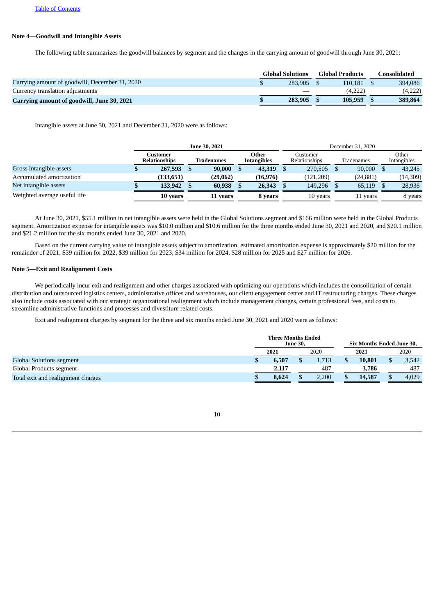### **Note 4—Goodwill and Intangible Assets**

The following table summarizes the goodwill balances by segment and the changes in the carrying amount of goodwill through June 30, 2021:

|                                                | <b>Global Solutions</b> |         | <b>Global Products</b> | Consolidated |
|------------------------------------------------|-------------------------|---------|------------------------|--------------|
| Carrying amount of goodwill, December 31, 2020 |                         | 283.905 | 110.181                | 394,086      |
| Currency translation adjustments               |                         |         | (4,222)                | (4,222)      |
| Carrying amount of goodwill, June 30, 2021     |                         | 283,905 | 105,959                | 389,864      |

Intangible assets at June 30, 2021 and December 31, 2020 were as follows:

|                              | <b>June 30, 2021</b>             |  |            |  |                             |  | December 31, 2020         |  |            |  |                      |  |
|------------------------------|----------------------------------|--|------------|--|-----------------------------|--|---------------------------|--|------------|--|----------------------|--|
|                              | Customer<br><b>Relationships</b> |  | Tradenames |  | Other<br><b>Intangibles</b> |  | Customer<br>Relationships |  | Tradenames |  | Other<br>Intangibles |  |
| Gross intangible assets      | 267,593                          |  | 90,000     |  | 43,319                      |  | 270,505                   |  | 90,000     |  | 43.245               |  |
| Accumulated amortization     | (133, 651)                       |  | (29,062)   |  | (16, 976)                   |  | (121,209)                 |  | (24, 881)  |  | (14, 309)            |  |
| Net intangible assets        | 133,942                          |  | 60,938     |  | 26,343                      |  | 149.296                   |  | 65.119     |  | 28,936               |  |
| Weighted average useful life | 10 years                         |  | 11 years   |  | 8 years                     |  | 10 years                  |  | 11 years   |  | 8 years              |  |

At June 30, 2021, \$55.1 million in net intangible assets were held in the Global Solutions segment and \$166 million were held in the Global Products segment. Amortization expense for intangible assets was \$10.0 million and \$10.6 million for the three months ended June 30, 2021 and 2020, and \$20.1 million and \$21.2 million for the six months ended June 30, 2021 and 2020.

Based on the current carrying value of intangible assets subject to amortization, estimated amortization expense is approximately \$20 million for the remainder of 2021, \$39 million for 2022, \$39 million for 2023, \$34 million for 2024, \$28 million for 2025 and \$27 million for 2026.

### **Note 5—Exit and Realignment Costs**

We periodically incur exit and realignment and other charges associated with optimizing our operations which includes the consolidation of certain distribution and outsourced logistics centers, administrative offices and warehouses, our client engagement center and IT restructuring charges. These charges also include costs associated with our strategic organizational realignment which include management changes, certain professional fees, and costs to streamline administrative functions and processes and divestiture related costs.

Exit and realignment charges by segment for the three and six months ended June 30, 2021 and 2020 were as follows:

|                                    | <b>Three Months Ended</b><br><b>June 30,</b> |       |  |       |  | Six Months Ended June 30, |  |       |  |  |
|------------------------------------|----------------------------------------------|-------|--|-------|--|---------------------------|--|-------|--|--|
|                                    | 2020<br>2021                                 |       |  |       |  | 2021                      |  | 2020  |  |  |
| <b>Global Solutions segment</b>    |                                              | 6,507 |  | 1.713 |  | 10.801                    |  | 3,542 |  |  |
| Global Products segment            |                                              | 2,117 |  | 487   |  | 3.786                     |  | 487   |  |  |
| Total exit and realignment charges |                                              | 8,624 |  | 2,200 |  | 14,587                    |  | 4,029 |  |  |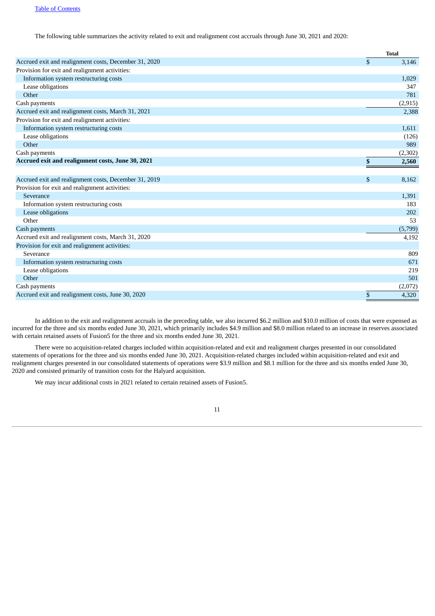The following table summarizes the activity related to exit and realignment cost accruals through June 30, 2021 and 2020:

|                                                       | <b>Total</b> |
|-------------------------------------------------------|--------------|
| Accrued exit and realignment costs, December 31, 2020 | \$<br>3,146  |
| Provision for exit and realignment activities:        |              |
| Information system restructuring costs                | 1,029        |
| Lease obligations                                     | 347          |
| Other                                                 | 781          |
| Cash payments                                         | (2, 915)     |
| Accrued exit and realignment costs, March 31, 2021    | 2,388        |
| Provision for exit and realignment activities:        |              |
| Information system restructuring costs                | 1,611        |
| Lease obligations                                     | (126)        |
| Other                                                 | 989          |
| Cash payments                                         | (2, 302)     |
| Accrued exit and realignment costs, June 30, 2021     | \$<br>2,560  |
|                                                       |              |
| Accrued exit and realignment costs, December 31, 2019 | \$<br>8,162  |
| Provision for exit and realignment activities:        |              |
| Severance                                             | 1,391        |
| Information system restructuring costs                | 183          |
| Lease obligations                                     | 202          |
| Other                                                 | 53           |
| <b>Cash payments</b>                                  | (5,799)      |
| Accrued exit and realignment costs, March 31, 2020    | 4,192        |
| Provision for exit and realignment activities:        |              |
| Severance                                             | 809          |
| Information system restructuring costs                | 671          |
| Lease obligations                                     | 219          |
| Other                                                 | 501          |
| Cash payments                                         | (2,072)      |
| Accrued exit and realignment costs, June 30, 2020     | \$<br>4,320  |

In addition to the exit and realignment accruals in the preceding table, we also incurred \$6.2 million and \$10.0 million of costs that were expensed as incurred for the three and six months ended June 30, 2021, which primarily includes \$4.9 million and \$8.0 million related to an increase in reserves associated with certain retained assets of Fusion5 for the three and six months ended June 30, 2021.

There were no acquisition-related charges included within acquisition-related and exit and realignment charges presented in our consolidated statements of operations for the three and six months ended June 30, 2021. Acquisition-related charges included within acquisition-related and exit and realignment charges presented in our consolidated statements of operations were \$3.9 million and \$8.1 million for the three and six months ended June 30, 2020 and consisted primarily of transition costs for the Halyard acquisition.

We may incur additional costs in 2021 related to certain retained assets of Fusion5.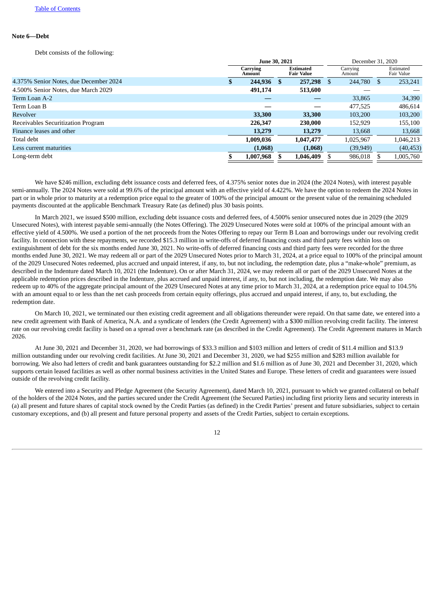## **Note 6—Debt**

Debt consists of the following:

|                                        | June 30, 2021                                               |            |  |           |                    |           | December 31, 2020       |           |
|----------------------------------------|-------------------------------------------------------------|------------|--|-----------|--------------------|-----------|-------------------------|-----------|
|                                        | <b>Estimated</b><br>Carrying<br><b>Fair Value</b><br>Amount |            |  |           | Carrying<br>Amount |           | Estimated<br>Fair Value |           |
| 4.375% Senior Notes, due December 2024 | <b>J</b>                                                    | 244,936 \$ |  | 257,298   | - S                | 244,780   | <b>S</b>                | 253,241   |
| 4.500% Senior Notes, due March 2029    |                                                             | 491,174    |  | 513,600   |                    |           |                         |           |
| Term Loan A-2                          |                                                             |            |  |           |                    | 33,865    |                         | 34,390    |
| Term Loan B                            |                                                             |            |  |           |                    | 477.525   |                         | 486,614   |
| Revolver                               |                                                             | 33,300     |  | 33,300    |                    | 103,200   |                         | 103,200   |
| Receivables Securitization Program     |                                                             | 226,347    |  | 230,000   |                    | 152,929   |                         | 155,100   |
| Finance leases and other               |                                                             | 13,279     |  | 13,279    |                    | 13,668    |                         | 13,668    |
| Total debt                             |                                                             | 1,009,036  |  | 1,047,477 |                    | 1,025,967 |                         | 1,046,213 |
| Less current maturities                |                                                             | (1,068)    |  | (1,068)   |                    | (39, 949) |                         | (40, 453) |
| Long-term debt                         |                                                             | 1,007,968  |  | 1,046,409 |                    | 986,018   |                         | 1,005,760 |

We have \$246 million, excluding debt issuance costs and deferred fees, of 4.375% senior notes due in 2024 (the 2024 Notes), with interest payable semi-annually. The 2024 Notes were sold at 99.6% of the principal amount with an effective yield of 4.422%. We have the option to redeem the 2024 Notes in part or in whole prior to maturity at a redemption price equal to the greater of 100% of the principal amount or the present value of the remaining scheduled payments discounted at the applicable Benchmark Treasury Rate (as defined) plus 30 basis points.

In March 2021, we issued \$500 million, excluding debt issuance costs and deferred fees, of 4.500% senior unsecured notes due in 2029 (the 2029 Unsecured Notes), with interest payable semi-annually (the Notes Offering). The 2029 Unsecured Notes were sold at 100% of the principal amount with an effective yield of 4.500%. We used a portion of the net proceeds from the Notes Offering to repay our Term B Loan and borrowings under our revolving credit facility. In connection with these repayments, we recorded \$15.3 million in write-offs of deferred financing costs and third party fees within loss on extinguishment of debt for the six months ended June 30, 2021. No write-offs of deferred financing costs and third party fees were recorded for the three months ended June 30, 2021. We may redeem all or part of the 2029 Unsecured Notes prior to March 31, 2024, at a price equal to 100% of the principal amount of the 2029 Unsecured Notes redeemed, plus accrued and unpaid interest, if any, to, but not including, the redemption date, plus a "make-whole" premium, as described in the Indenture dated March 10, 2021 (the Indenture). On or after March 31, 2024, we may redeem all or part of the 2029 Unsecured Notes at the applicable redemption prices described in the Indenture, plus accrued and unpaid interest, if any, to, but not including, the redemption date. We may also redeem up to 40% of the aggregate principal amount of the 2029 Unsecured Notes at any time prior to March 31, 2024, at a redemption price equal to 104.5% with an amount equal to or less than the net cash proceeds from certain equity offerings, plus accrued and unpaid interest, if any, to, but excluding, the redemption date.

On March 10, 2021, we terminated our then existing credit agreement and all obligations thereunder were repaid. On that same date, we entered into a new credit agreement with Bank of America, N.A. and a syndicate of lenders (the Credit Agreement) with a \$300 million revolving credit facility. The interest rate on our revolving credit facility is based on a spread over a benchmark rate (as described in the Credit Agreement). The Credit Agreement matures in March 2026.

At June 30, 2021 and December 31, 2020, we had borrowings of \$33.3 million and \$103 million and letters of credit of \$11.4 million and \$13.9 million outstanding under our revolving credit facilities. At June 30, 2021 and December 31, 2020, we had \$255 million and \$283 million available for borrowing. We also had letters of credit and bank guarantees outstanding for \$2.2 million and \$1.6 million as of June 30, 2021 and December 31, 2020, which supports certain leased facilities as well as other normal business activities in the United States and Europe. These letters of credit and guarantees were issued outside of the revolving credit facility.

We entered into a Security and Pledge Agreement (the Security Agreement), dated March 10, 2021, pursuant to which we granted collateral on behalf of the holders of the 2024 Notes, and the parties secured under the Credit Agreement (the Secured Parties) including first priority liens and security interests in (a) all present and future shares of capital stock owned by the Credit Parties (as defined) in the Credit Parties' present and future subsidiaries, subject to certain customary exceptions, and (b) all present and future personal property and assets of the Credit Parties, subject to certain exceptions.

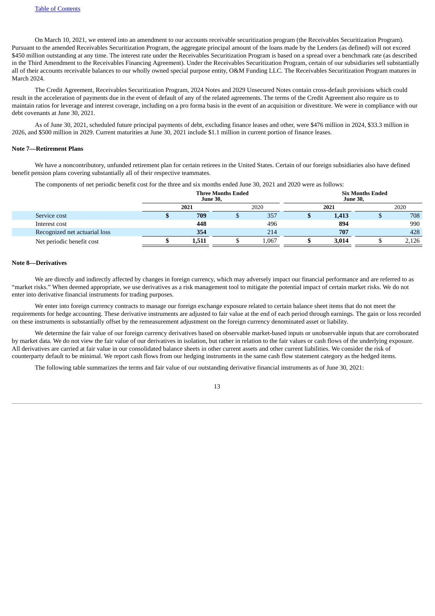On March 10, 2021, we entered into an amendment to our accounts receivable securitization program (the Receivables Securitization Program). Pursuant to the amended Receivables Securitization Program, the aggregate principal amount of the loans made by the Lenders (as defined) will not exceed \$450 million outstanding at any time. The interest rate under the Receivables Securitization Program is based on a spread over a benchmark rate (as described in the Third Amendment to the Receivables Financing Agreement). Under the Receivables Securitization Program, certain of our subsidiaries sell substantially all of their accounts receivable balances to our wholly owned special purpose entity, O&M Funding LLC. The Receivables Securitization Program matures in March 2024.

The Credit Agreement, Receivables Securitization Program, 2024 Notes and 2029 Unsecured Notes contain cross-default provisions which could result in the acceleration of payments due in the event of default of any of the related agreements. The terms of the Credit Agreement also require us to maintain ratios for leverage and interest coverage, including on a pro forma basis in the event of an acquisition or divestiture. We were in compliance with our debt covenants at June 30, 2021.

As of June 30, 2021, scheduled future principal payments of debt, excluding finance leases and other, were \$476 million in 2024, \$33.3 million in 2026, and \$500 million in 2029. Current maturities at June 30, 2021 include \$1.1 million in current portion of finance leases.

#### **Note 7—Retirement Plans**

We have a noncontributory, unfunded retirement plan for certain retirees in the United States. Certain of our foreign subsidiaries also have defined benefit pension plans covering substantially all of their respective teammates.

The components of net periodic benefit cost for the three and six months ended June 30, 2021 and 2020 were as follows:

|                               | June 30, | <b>Three Months Ended</b> |       | <b>Six Months Ended</b><br><b>June 30,</b> |  |       |  |  |  |
|-------------------------------|----------|---------------------------|-------|--------------------------------------------|--|-------|--|--|--|
|                               | 2021     |                           | 2020  | 2021                                       |  | 2020  |  |  |  |
| Service cost                  | 709      |                           | 357   | 1,413                                      |  | 708   |  |  |  |
| Interest cost                 | 448      |                           | 496   | 894                                        |  | 990   |  |  |  |
| Recognized net actuarial loss | 354      |                           | 214   | 707                                        |  | 428   |  |  |  |
| Net periodic benefit cost     | 1,511    |                           | 1,067 | 3,014                                      |  | 2,126 |  |  |  |

#### **Note 8—Derivatives**

We are directly and indirectly affected by changes in foreign currency, which may adversely impact our financial performance and are referred to as "market risks." When deemed appropriate, we use derivatives as a risk management tool to mitigate the potential impact of certain market risks. We do not enter into derivative financial instruments for trading purposes.

We enter into foreign currency contracts to manage our foreign exchange exposure related to certain balance sheet items that do not meet the requirements for hedge accounting. These derivative instruments are adjusted to fair value at the end of each period through earnings. The gain or loss recorded on these instruments is substantially offset by the remeasurement adjustment on the foreign currency denominated asset or liability.

We determine the fair value of our foreign currency derivatives based on observable market-based inputs or unobservable inputs that are corroborated by market data. We do not view the fair value of our derivatives in isolation, but rather in relation to the fair values or cash flows of the underlying exposure. All derivatives are carried at fair value in our consolidated balance sheets in other current assets and other current liabilities. We consider the risk of counterparty default to be minimal. We report cash flows from our hedging instruments in the same cash flow statement category as the hedged items.

The following table summarizes the terms and fair value of our outstanding derivative financial instruments as of June 30, 2021: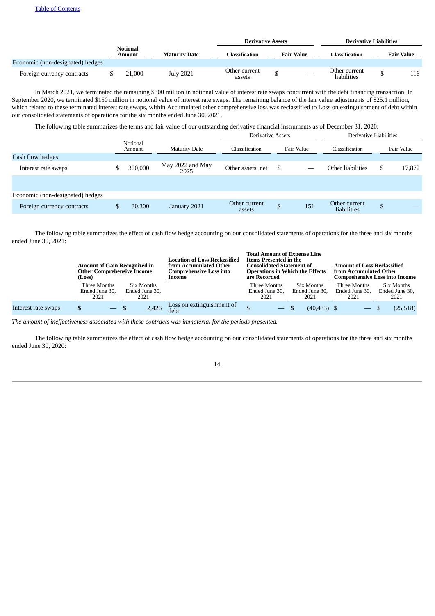|                                  |  |                           |                      | <b>Derivative Assets</b> |                                 | <b>Derivative Liabilities</b> |                   |
|----------------------------------|--|---------------------------|----------------------|--------------------------|---------------------------------|-------------------------------|-------------------|
|                                  |  | <b>Notional</b><br>Amount | <b>Maturity Date</b> | Classification           | <b>Fair Value</b>               | <b>Classification</b>         | <b>Fair Value</b> |
| Economic (non-designated) hedges |  |                           |                      |                          |                                 |                               |                   |
| Foreign currency contracts       |  | 21,000                    | <b>July 2021</b>     | Other current<br>assets  | $\hspace{0.1mm}-\hspace{0.1mm}$ | Other current<br>liabilities  | 116               |

In March 2021, we terminated the remaining \$300 million in notional value of interest rate swaps concurrent with the debt financing transaction. In September 2020, we terminated \$150 million in notional value of interest rate swaps. The remaining balance of the fair value adjustments of \$25.1 million, which related to these terminated interest rate swaps, within Accumulated other comprehensive loss was reclassified to Loss on extinguishment of debt within our consolidated statements of operations for the six months ended June 30, 2021.

The following table summarizes the terms and fair value of our outstanding derivative financial instruments as of December 31, 2020:

|                                  |                    |         |                          | <b>Derivative Assets</b> |            |     | Derivative Liabilities       |              |
|----------------------------------|--------------------|---------|--------------------------|--------------------------|------------|-----|------------------------------|--------------|
|                                  | Notional<br>Amount |         | <b>Maturity Date</b>     | Classification           | Fair Value |     | Classification               | Fair Value   |
| Cash flow hedges                 |                    |         |                          |                          |            |     |                              |              |
| Interest rate swaps              |                    | 300,000 | May 2022 and May<br>2025 | Other assets, net        | S.         |     | Other liabilities            | \$<br>17,872 |
|                                  |                    |         |                          |                          |            |     |                              |              |
| Economic (non-designated) hedges |                    |         |                          |                          |            |     |                              |              |
| Foreign currency contracts       |                    | 30,300  | January 2021             | Other current<br>assets  | \$         | 151 | Other current<br>liabilities | \$           |

The following table summarizes the effect of cash flow hedge accounting on our consolidated statements of operations for the three and six months ended June 30, 2021:

|                     | <b>Amount of Gain Recognized in</b><br><b>Other Comprehensive Income</b><br>(Loss) |                                        |  |                                      | <b>Location of Loss Reclassified</b><br>from Accumulated Other<br>Comprehensive Loss into<br>Income | <b>Total Amount of Expense Line</b><br><b>Items Presented in the</b><br><b>Consolidated Statement of</b><br><b>Operations in Which the Effects</b><br>are Recorded |  |                                      |  | <b>Amount of Loss Reclassified</b><br>from Accumulated Other<br><b>Comprehensive Loss into Income</b> |  |                                      |  |  |
|---------------------|------------------------------------------------------------------------------------|----------------------------------------|--|--------------------------------------|-----------------------------------------------------------------------------------------------------|--------------------------------------------------------------------------------------------------------------------------------------------------------------------|--|--------------------------------------|--|-------------------------------------------------------------------------------------------------------|--|--------------------------------------|--|--|
|                     |                                                                                    | Three Months<br>Ended June 30,<br>2021 |  | Six Months<br>Ended June 30,<br>2021 |                                                                                                     | Three Months<br>Ended June 30,<br>2021                                                                                                                             |  | Six Months<br>Ended June 30,<br>2021 |  | Three Months<br>Ended June 30,<br>2021                                                                |  | Six Months<br>Ended June 30,<br>2021 |  |  |
| Interest rate swaps |                                                                                    |                                        |  | 2,426                                | Loss on extinguishment of<br>debt                                                                   | $\overline{\phantom{0}}$                                                                                                                                           |  | $(40, 433)$ \$                       |  |                                                                                                       |  | (25, 518)                            |  |  |

*The amount of ineffectiveness associated with these contracts was immaterial for the periods presented.*

The following table summarizes the effect of cash flow hedge accounting on our consolidated statements of operations for the three and six months ended June 30, 2020: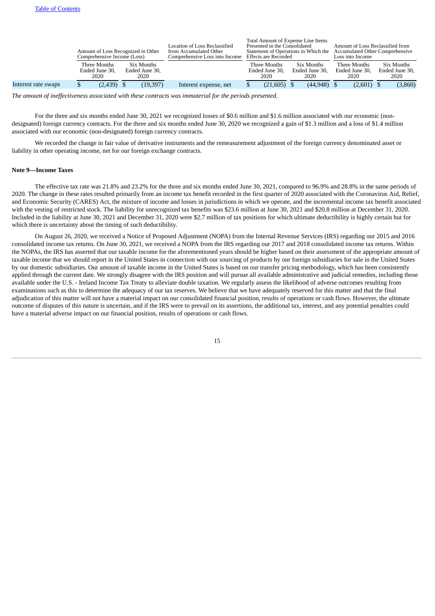| Amount of Loss Recognized in Other<br>Comprehensive Income (Loss) |                                        |  |                                      | Location of Loss Reclassified<br>from Accumulated Other<br>Comprehensive Loss into Income Effects are Recorded | Total Amount of Expense Line Items<br>Presented in the Consolidated            |  | Statement of Operations in Which the | Amount of Loss Reclassified from<br><b>Accumulated Other Comprehensive</b><br>Loss into Income |         |                                      |         |  |
|-------------------------------------------------------------------|----------------------------------------|--|--------------------------------------|----------------------------------------------------------------------------------------------------------------|--------------------------------------------------------------------------------|--|--------------------------------------|------------------------------------------------------------------------------------------------|---------|--------------------------------------|---------|--|
|                                                                   | Three Months<br>Ended June 30,<br>2020 |  | Six Months<br>Ended June 30,<br>2020 |                                                                                                                | Six Months<br>Three Months<br>Ended June 30,<br>Ended June 30,<br>2020<br>2020 |  |                                      | Three Months<br>Ended June 30.<br>2020                                                         |         | Six Months<br>Ended June 30,<br>2020 |         |  |
|                                                                   | (2.439)                                |  | (19.397)                             | Interest expense, net                                                                                          | (21.605)                                                                       |  | (44.948)                             |                                                                                                | (2.601) |                                      | (3.860) |  |

*The amount of ineffectiveness associated with these contracts was immaterial for the periods presented.*

For the three and six months ended June 30, 2021 we recognized losses of \$0.6 million and \$1.6 million associated with our economic (nondesignated) foreign currency contracts. For the three and six months ended June 30, 2020 we recognized a gain of \$1.3 million and a loss of \$1.4 million associated with our economic (non-designated) foreign currency contracts.

We recorded the change in fair value of derivative instruments and the remeasurement adjustment of the foreign currency denominated asset or liability in other operating income, net for our foreign exchange contracts.

#### **Note 9—Income Taxes**

Interest rate swaps

The effective tax rate was 21.8% and 23.2% for the three and six months ended June 30, 2021, compared to 96.9% and 28.8% in the same periods of 2020. The change in these rates resulted primarily from an income tax benefit recorded in the first quarter of 2020 associated with the Coronavirus Aid, Relief, and Economic Security (CARES) Act, the mixture of income and losses in jurisdictions in which we operate, and the incremental income tax benefit associated with the vesting of restricted stock. The liability for unrecognized tax benefits was \$23.6 million at June 30, 2021 and \$20.8 million at December 31, 2020. Included in the liability at June 30, 2021 and December 31, 2020 were \$2.7 million of tax positions for which ultimate deductibility is highly certain but for which there is uncertainty about the timing of such deductibility.

On August 26, 2020, we received a Notice of Proposed Adjustment (NOPA) from the Internal Revenue Services (IRS) regarding our 2015 and 2016 consolidated income tax returns. On June 30, 2021, we received a NOPA from the IRS regarding our 2017 and 2018 consolidated income tax returns. Within the NOPAs, the IRS has asserted that our taxable income for the aforementioned years should be higher based on their assessment of the appropriate amount of taxable income that we should report in the United States in connection with our sourcing of products by our foreign subsidiaries for sale in the United States by our domestic subsidiaries. Our amount of taxable income in the United States is based on our transfer pricing methodology, which has been consistently applied through the current date. We strongly disagree with the IRS position and will pursue all available administrative and judicial remedies, including those available under the U.S. - Ireland Income Tax Treaty to alleviate double taxation. We regularly assess the likelihood of adverse outcomes resulting from examinations such as this to determine the adequacy of our tax reserves. We believe that we have adequately reserved for this matter and that the final adjudication of this matter will not have a material impact on our consolidated financial position, results of operations or cash flows. However, the ultimate outcome of disputes of this nature is uncertain, and if the IRS were to prevail on its assertions, the additional tax, interest, and any potential penalties could have a material adverse impact on our financial position, results of operations or cash flows.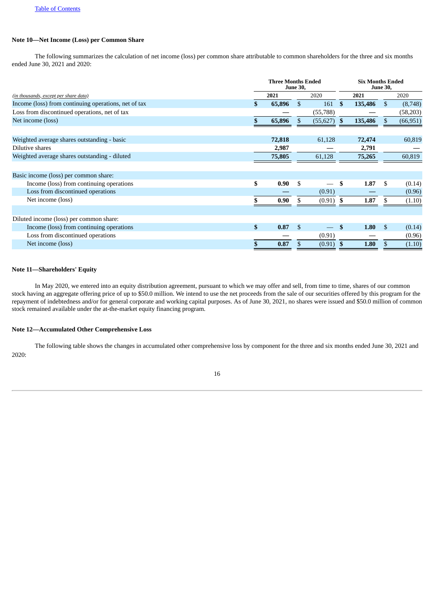# **Note 10—Net Income (Loss) per Common Share**

The following summarizes the calculation of net income (loss) per common share attributable to common shareholders for the three and six months ended June 30, 2021 and 2020:

|                                                      | <b>Three Months Ended</b><br><b>June 30,</b> |        |                |             |      |         | <b>Six Months Ended</b><br><b>June 30,</b> |           |  |
|------------------------------------------------------|----------------------------------------------|--------|----------------|-------------|------|---------|--------------------------------------------|-----------|--|
| (in thousands, except per share data)                |                                              | 2021   |                | 2020        | 2021 |         |                                            | 2020      |  |
| Income (loss) from continuing operations, net of tax | \$                                           | 65,896 | $\mathfrak{S}$ | 161         | - \$ | 135,486 | $\mathbb{S}$                               | (8,748)   |  |
| Loss from discontinued operations, net of tax        |                                              |        |                | (55,788)    |      |         |                                            | (58, 203) |  |
| Net income (loss)                                    |                                              | 65,896 |                | (55, 627)   | \$   | 135,486 | \$                                         | (66, 951) |  |
|                                                      |                                              |        |                |             |      |         |                                            |           |  |
| Weighted average shares outstanding - basic          |                                              | 72,818 |                | 61,128      |      | 72,474  |                                            | 60,819    |  |
| Dilutive shares                                      |                                              | 2,987  |                |             |      | 2,791   |                                            |           |  |
| Weighted average shares outstanding - diluted        |                                              | 75,805 |                | 61,128      |      | 75,265  |                                            | 60,819    |  |
|                                                      |                                              |        |                |             |      |         |                                            |           |  |
| Basic income (loss) per common share:                |                                              |        |                |             |      |         |                                            |           |  |
| Income (loss) from continuing operations             | \$                                           | 0.90   | \$             |             | \$   | 1.87    | \$                                         | (0.14)    |  |
| Loss from discontinued operations                    |                                              |        |                | (0.91)      |      |         |                                            | (0.96)    |  |
| Net income (loss)                                    |                                              | 0.90   |                | $(0.91)$ \$ |      | 1.87    | \$                                         | (1.10)    |  |
|                                                      |                                              |        |                |             |      |         |                                            |           |  |
| Diluted income (loss) per common share:              |                                              |        |                |             |      |         |                                            |           |  |
| Income (loss) from continuing operations             | \$                                           | 0.87   | $\mathfrak{S}$ |             | \$.  | 1.80    | <sup>\$</sup>                              | (0.14)    |  |
| Loss from discontinued operations                    |                                              |        |                | (0.91)      |      |         |                                            | (0.96)    |  |
| Net income (loss)                                    |                                              | 0.87   |                | (0.91)      | S    | 1.80    | \$                                         | (1.10)    |  |

## **Note 11—Shareholders' Equity**

In May 2020, we entered into an equity distribution agreement, pursuant to which we may offer and sell, from time to time, shares of our common stock having an aggregate offering price of up to \$50.0 million. We intend to use the net proceeds from the sale of our securities offered by this program for the repayment of indebtedness and/or for general corporate and working capital purposes. As of June 30, 2021, no shares were issued and \$50.0 million of common stock remained available under the at-the-market equity financing program.

## **Note 12—Accumulated Other Comprehensive Loss**

The following table shows the changes in accumulated other comprehensive loss by component for the three and six months ended June 30, 2021 and 2020: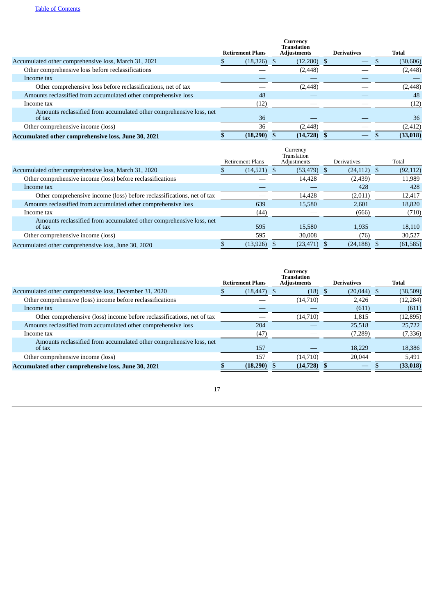|                                                                               |                         | Currency<br><b>Translation</b> |                    |           |
|-------------------------------------------------------------------------------|-------------------------|--------------------------------|--------------------|-----------|
|                                                                               | <b>Retirement Plans</b> | <b>Adjustments</b>             | <b>Derivatives</b> | Total     |
| Accumulated other comprehensive loss, March 31, 2021                          | $(18,326)$ \$           | (12,280)                       |                    | (30, 606) |
| Other comprehensive loss before reclassifications                             |                         | (2, 448)                       |                    | (2, 448)  |
| Income tax                                                                    |                         |                                |                    |           |
| Other comprehensive loss before reclassifications, net of tax                 |                         | (2, 448)                       |                    | (2, 448)  |
| Amounts reclassified from accumulated other comprehensive loss                | 48                      |                                |                    | 48        |
| Income tax                                                                    | (12)                    |                                |                    | (12)      |
| Amounts reclassified from accumulated other comprehensive loss, net<br>of tax | 36                      |                                |                    | 36        |
| Other comprehensive income (loss)                                             | 36                      | (2, 448)                       |                    | (2, 412)  |
| Accumulated other comprehensive loss, June 30, 2021                           | $(18,290)$ \$           | (14, 728)                      |                    | (33,018)  |

|                                                                               |                                                              | Currency<br>Translation |                |           |  |  |
|-------------------------------------------------------------------------------|--------------------------------------------------------------|-------------------------|----------------|-----------|--|--|
|                                                                               | <b>Derivatives</b><br><b>Retirement Plans</b><br>Adjustments |                         |                |           |  |  |
| Accumulated other comprehensive loss, March 31, 2020                          | $(14,521)$ \$                                                | (53, 479)               | $(24, 112)$ \$ | (92, 112) |  |  |
| Other comprehensive income (loss) before reclassifications                    |                                                              | 14,428                  | (2,439)        | 11,989    |  |  |
| Income tax                                                                    |                                                              |                         | 428            | 428       |  |  |
| Other comprehensive income (loss) before reclassifications, net of tax        |                                                              | 14,428                  | (2,011)        | 12,417    |  |  |
| Amounts reclassified from accumulated other comprehensive loss                | 639                                                          | 15,580                  | 2.601          | 18,820    |  |  |
| Income tax                                                                    |                                                              | (44)                    | (666)          | (710)     |  |  |
| Amounts reclassified from accumulated other comprehensive loss, net<br>of tax | 595                                                          | 15,580                  | 1,935          | 18,110    |  |  |
| Other comprehensive income (loss)                                             | 595                                                          | 30,008                  | (76)           | 30,527    |  |  |
| Accumulated other comprehensive loss, June 30, 2020                           | $(13,926)$ \$                                                | (23, 471)               | (24, 188)      | (61, 585) |  |  |

|                                                                               |                         | Currency<br><b>Translation</b> |                    |          |           |
|-------------------------------------------------------------------------------|-------------------------|--------------------------------|--------------------|----------|-----------|
|                                                                               | <b>Retirement Plans</b> | <b>Adjustments</b>             | <b>Derivatives</b> |          | Total     |
| Accumulated other comprehensive loss, December 31, 2020                       | (18, 447)               | (18)                           | (20, 044)          | <b>S</b> | (38,509)  |
| Other comprehensive (loss) income before reclassifications                    |                         | (14,710)                       | 2,426              |          | (12, 284) |
| Income tax                                                                    |                         |                                | (611)              |          | (611)     |
| Other comprehensive (loss) income before reclassifications, net of tax        |                         | (14,710)                       | 1,815              |          | (12, 895) |
| Amounts reclassified from accumulated other comprehensive loss                | 204                     |                                | 25,518             |          | 25,722    |
| Income tax                                                                    | (47)                    |                                | (7,289)            |          | (7,336)   |
| Amounts reclassified from accumulated other comprehensive loss, net<br>of tax | 157                     |                                | 18,229             |          | 18,386    |
| Other comprehensive income (loss)                                             | 157                     | (14,710)                       | 20,044             |          | 5,491     |
| Accumulated other comprehensive loss, June 30, 2021                           | $(18,290)$ \$           | (14, 728)                      |                    |          | (33,018)  |
|                                                                               |                         |                                |                    |          |           |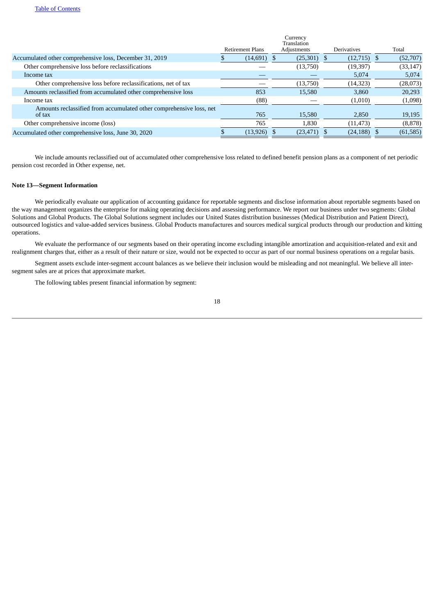|                                                                               | Currency<br>Translation |             |                    |           |  |  |  |  |
|-------------------------------------------------------------------------------|-------------------------|-------------|--------------------|-----------|--|--|--|--|
|                                                                               | <b>Retirement Plans</b> | Adjustments | <b>Derivatives</b> | Total     |  |  |  |  |
| Accumulated other comprehensive loss, December 31, 2019                       | (14, 691)               | (25,301)    | $(12,715)$ \$      | (52,707)  |  |  |  |  |
| Other comprehensive loss before reclassifications                             |                         | (13,750)    | (19, 397)          | (33, 147) |  |  |  |  |
| Income tax                                                                    |                         |             | 5,074              | 5,074     |  |  |  |  |
| Other comprehensive loss before reclassifications, net of tax                 |                         | (13,750)    | (14, 323)          | (28,073)  |  |  |  |  |
| Amounts reclassified from accumulated other comprehensive loss                | 853                     | 15,580      | 3,860              | 20,293    |  |  |  |  |
| Income tax                                                                    | (88)                    |             | (1,010)            | (1,098)   |  |  |  |  |
| Amounts reclassified from accumulated other comprehensive loss, net<br>of tax | 765                     | 15,580      | 2,850              | 19,195    |  |  |  |  |
| Other comprehensive income (loss)                                             | 765                     | 1,830       | (11, 473)          | (8, 878)  |  |  |  |  |
| Accumulated other comprehensive loss, June 30, 2020                           | (13,926)                | (23, 471)   | $(24, 188)$ \$     | (61, 585) |  |  |  |  |

We include amounts reclassified out of accumulated other comprehensive loss related to defined benefit pension plans as a component of net periodic pension cost recorded in Other expense, net.

## **Note 13—Segment Information**

We periodically evaluate our application of accounting guidance for reportable segments and disclose information about reportable segments based on the way management organizes the enterprise for making operating decisions and assessing performance. We report our business under two segments: Global Solutions and Global Products. The Global Solutions segment includes our United States distribution businesses (Medical Distribution and Patient Direct), outsourced logistics and value-added services business. Global Products manufactures and sources medical surgical products through our production and kitting operations.

We evaluate the performance of our segments based on their operating income excluding intangible amortization and acquisition-related and exit and realignment charges that, either as a result of their nature or size, would not be expected to occur as part of our normal business operations on a regular basis.

Segment assets exclude inter-segment account balances as we believe their inclusion would be misleading and not meaningful. We believe all intersegment sales are at prices that approximate market.

The following tables present financial information by segment: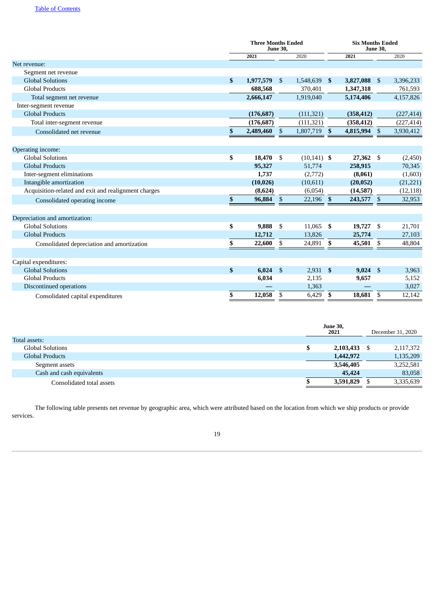# Table of [Contents](#page-0-0)

|                                                      | <b>Three Months Ended</b> | <b>June 30,</b> |                |                           | <b>Six Months Ended</b><br><b>June 30,</b> |                |            |
|------------------------------------------------------|---------------------------|-----------------|----------------|---------------------------|--------------------------------------------|----------------|------------|
|                                                      | 2021                      |                 | 2020           |                           | 2021                                       |                | 2020       |
| Net revenue:                                         |                           |                 |                |                           |                                            |                |            |
| Segment net revenue                                  |                           |                 |                |                           |                                            |                |            |
| <b>Global Solutions</b>                              | \$<br>1,977,579           | $\mathbb{S}$    | 1,548,639 \$   |                           | 3,827,088 \$                               |                | 3,396,233  |
| <b>Global Products</b>                               | 688,568                   |                 | 370,401        |                           | 1,347,318                                  |                | 761,593    |
| Total segment net revenue                            | 2,666,147                 |                 | 1,919,040      |                           | 5,174,406                                  |                | 4,157,826  |
| Inter-segment revenue                                |                           |                 |                |                           |                                            |                |            |
| <b>Global Products</b>                               | (176, 687)                |                 | (111, 321)     |                           | (358, 412)                                 |                | (227, 414) |
| Total inter-segment revenue                          | (176, 687)                |                 | (111, 321)     |                           | (358, 412)                                 |                | (227, 414) |
| Consolidated net revenue                             | \$<br>2,489,460           | $\$\,$          | 1,807,719      | \$                        | 4,815,994                                  | $\mathfrak{S}$ | 3,930,412  |
|                                                      |                           |                 |                |                           |                                            |                |            |
| Operating income:                                    |                           |                 |                |                           |                                            |                |            |
| <b>Global Solutions</b>                              | \$<br>18,470              | \$              | $(10, 141)$ \$ |                           | 27,362 \$                                  |                | (2,450)    |
| <b>Global Products</b>                               | 95,327                    |                 | 51,774         |                           | 258,915                                    |                | 70,345     |
| Inter-segment eliminations                           | 1,737                     |                 | (2,772)        |                           | (8,061)                                    |                | (1,603)    |
| Intangible amortization                              | (10, 026)                 |                 | (10,611)       |                           | (20, 052)                                  |                | (21, 221)  |
| Acquisition-related and exit and realignment charges | (8,624)                   |                 | (6,054)        |                           | (14, 587)                                  |                | (12, 118)  |
| Consolidated operating income                        | \$<br>96,884              | $\mathbb{S}$    | 22,196         | $\boldsymbol{\mathsf{s}}$ | 243,577                                    | $\mathcal{S}$  | 32,953     |
|                                                      |                           |                 |                |                           |                                            |                |            |
| Depreciation and amortization:                       |                           |                 |                |                           |                                            |                |            |
| <b>Global Solutions</b>                              | \$<br>9,888               | \$              | $11,065$ \$    |                           | 19,727 \$                                  |                | 21,701     |
| <b>Global Products</b>                               | 12,712                    |                 | 13,826         |                           | 25,774                                     |                | 27,103     |
| Consolidated depreciation and amortization           | \$<br>22,600              | \$              | 24,891         | \$                        | 45,501                                     | -\$            | 48,804     |
|                                                      |                           |                 |                |                           |                                            |                |            |
| Capital expenditures:                                |                           |                 |                |                           |                                            |                |            |
| <b>Global Solutions</b>                              | \$<br>6,024               | $\mathcal{S}$   | $2,931$ \$     |                           | $9,024$ \$                                 |                | 3,963      |
| <b>Global Products</b>                               | 6,034                     |                 | 2,135          |                           | 9,657                                      |                | 5,152      |
| Discontinued operations                              |                           |                 | 1,363          |                           |                                            |                | 3,027      |
| Consolidated capital expenditures                    | \$<br>12.058              | $\mathcal{S}$   | 6,429          | \$                        | 18.681                                     | $\mathbf{s}$   | 12,142     |

|                 | December 31, 2020                                               |
|-----------------|-----------------------------------------------------------------|
|                 |                                                                 |
|                 | 2,117,372                                                       |
|                 | 1,135,209                                                       |
|                 | 3,252,581                                                       |
|                 | 83,058                                                          |
|                 | 3,335,639                                                       |
| <b>June 30,</b> | $2,103,433$ \$<br>1,442,972<br>3,546,405<br>45,424<br>3,591,829 |

The following table presents net revenue by geographic area, which were attributed based on the location from which we ship products or provide services.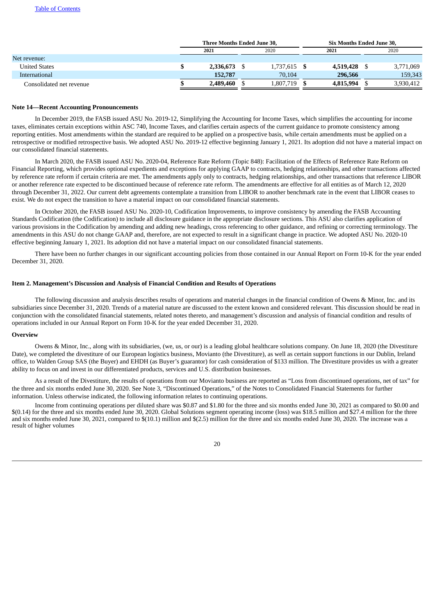|                          | Three Months Ended June 30, |           | Six Months Ended June 30, |           |
|--------------------------|-----------------------------|-----------|---------------------------|-----------|
|                          | 2021                        | 2020      | 2021                      | 2020      |
| Net revenue:             |                             |           |                           |           |
| United States            | 2,336,673                   | 1,737,615 | 4,519,428                 | 3,771,069 |
| International            | 152,787                     | 70,104    | 296,566                   | 159,343   |
| Consolidated net revenue | 2,489,460                   | 1.807.719 | 4,815,994                 | 3,930,412 |

### **Note 14—Recent Accounting Pronouncements**

In December 2019, the FASB issued ASU No. 2019-12, Simplifying the Accounting for Income Taxes, which simplifies the accounting for income taxes, eliminates certain exceptions within ASC 740, Income Taxes, and clarifies certain aspects of the current guidance to promote consistency among reporting entities. Most amendments within the standard are required to be applied on a prospective basis, while certain amendments must be applied on a retrospective or modified retrospective basis. We adopted ASU No. 2019-12 effective beginning January 1, 2021. Its adoption did not have a material impact on our consolidated financial statements.

In March 2020, the FASB issued ASU No. 2020-04, Reference Rate Reform (Topic 848): Facilitation of the Effects of Reference Rate Reform on Financial Reporting, which provides optional expedients and exceptions for applying GAAP to contracts, hedging relationships, and other transactions affected by reference rate reform if certain criteria are met. The amendments apply only to contracts, hedging relationships, and other transactions that reference LIBOR or another reference rate expected to be discontinued because of reference rate reform. The amendments are effective for all entities as of March 12, 2020 through December 31, 2022. Our current debt agreements contemplate a transition from LIBOR to another benchmark rate in the event that LIBOR ceases to exist. We do not expect the transition to have a material impact on our consolidated financial statements.

In October 2020, the FASB issued ASU No. 2020-10, Codification Improvements, to improve consistency by amending the FASB Accounting Standards Codification (the Codification) to include all disclosure guidance in the appropriate disclosure sections. This ASU also clarifies application of various provisions in the Codification by amending and adding new headings, cross referencing to other guidance, and refining or correcting terminology. The amendments in this ASU do not change GAAP and, therefore, are not expected to result in a significant change in practice. We adopted ASU No. 2020-10 effective beginning January 1, 2021. Its adoption did not have a material impact on our consolidated financial statements.

There have been no further changes in our significant accounting policies from those contained in our Annual Report on Form 10-K for the year ended December 31, 2020.

## <span id="page-19-0"></span>**Item 2. Management's Discussion and Analysis of Financial Condition and Results of Operations**

The following discussion and analysis describes results of operations and material changes in the financial condition of Owens & Minor, Inc. and its subsidiaries since December 31, 2020. Trends of a material nature are discussed to the extent known and considered relevant. This discussion should be read in conjunction with the consolidated financial statements, related notes thereto, and management's discussion and analysis of financial condition and results of operations included in our Annual Report on Form 10-K for the year ended December 31, 2020.

### **Overview**

Owens & Minor, Inc., along with its subsidiaries, (we, us, or our) is a leading global healthcare solutions company. On June 18, 2020 (the Divestiture Date), we completed the divestiture of our European logistics business, Movianto (the Divestiture), as well as certain support functions in our Dublin, Ireland office, to Walden Group SAS (the Buyer) and EHDH (as Buyer's guarantor) for cash consideration of \$133 million. The Divestiture provides us with a greater ability to focus on and invest in our differentiated products, services and U.S. distribution businesses.

As a result of the Divestiture, the results of operations from our Movianto business are reported as "Loss from discontinued operations, net of tax" for the three and six months ended June 30, 2020. See Note 3, "Discontinued Operations," of the Notes to Consolidated Financial Statements for further information. Unless otherwise indicated, the following information relates to continuing operations.

Income from continuing operations per diluted share was \$0.87 and \$1.80 for the three and six months ended June 30, 2021 as compared to \$0.00 and \$(0.14) for the three and six months ended June 30, 2020. Global Solutions segment operating income (loss) was \$18.5 million and \$27.4 million for the three and six months ended June 30, 2021, compared to \$(10.1) million and \$(2.5) million for the three and six months ended June 30, 2020. The increase was a result of higher volumes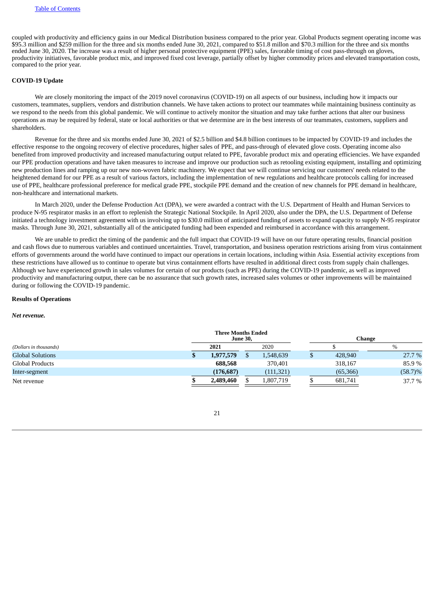coupled with productivity and efficiency gains in our Medical Distribution business compared to the prior year. Global Products segment operating income was \$95.3 million and \$259 million for the three and six months ended June 30, 2021, compared to \$51.8 millon and \$70.3 million for the three and six months ended June 30, 2020. The increase was a result of higher personal protective equipment (PPE) sales, favorable timing of cost pass-through on gloves, productivity initiatives, favorable product mix, and improved fixed cost leverage, partially offset by higher commodity prices and elevated transportation costs, compared to the prior year.

### **COVID-19 Update**

We are closely monitoring the impact of the 2019 novel coronavirus (COVID-19) on all aspects of our business, including how it impacts our customers, teammates, suppliers, vendors and distribution channels. We have taken actions to protect our teammates while maintaining business continuity as we respond to the needs from this global pandemic. We will continue to actively monitor the situation and may take further actions that alter our business operations as may be required by federal, state or local authorities or that we determine are in the best interests of our teammates, customers, suppliers and shareholders.

Revenue for the three and six months ended June 30, 2021 of \$2.5 billion and \$4.8 billion continues to be impacted by COVID-19 and includes the effective response to the ongoing recovery of elective procedures, higher sales of PPE, and pass-through of elevated glove costs. Operating income also benefited from improved productivity and increased manufacturing output related to PPE, favorable product mix and operating efficiencies. We have expanded our PPE production operations and have taken measures to increase and improve our production such as retooling existing equipment, installing and optimizing new production lines and ramping up our new non-woven fabric machinery. We expect that we will continue servicing our customers' needs related to the heightened demand for our PPE as a result of various factors, including the implementation of new regulations and healthcare protocols calling for increased use of PPE, healthcare professional preference for medical grade PPE, stockpile PPE demand and the creation of new channels for PPE demand in healthcare, non-healthcare and international markets.

In March 2020, under the Defense Production Act (DPA), we were awarded a contract with the U.S. Department of Health and Human Services to produce N-95 respirator masks in an effort to replenish the Strategic National Stockpile. In April 2020, also under the DPA, the U.S. Department of Defense initiated a technology investment agreement with us involving up to \$30.0 million of anticipated funding of assets to expand capacity to supply N-95 respirator masks. Through June 30, 2021, substantially all of the anticipated funding had been expended and reimbursed in accordance with this arrangement.

We are unable to predict the timing of the pandemic and the full impact that COVID-19 will have on our future operating results, financial position and cash flows due to numerous variables and continued uncertainties. Travel, transportation, and business operation restrictions arising from virus containment efforts of governments around the world have continued to impact our operations in certain locations, including within Asia. Essential activity exceptions from these restrictions have allowed us to continue to operate but virus containment efforts have resulted in additional direct costs from supply chain challenges. Although we have experienced growth in sales volumes for certain of our products (such as PPE) during the COVID-19 pandemic, as well as improved productivity and manufacturing output, there can be no assurance that such growth rates, increased sales volumes or other improvements will be maintained during or following the COVID-19 pandemic.

#### **Results of Operations**

*Net revenue.*

|                         | <b>Three Months Ended</b><br><b>June 30,</b> |            | Change   |            |  |
|-------------------------|----------------------------------------------|------------|----------|------------|--|
| (Dollars in thousands)  | 2021                                         | 2020       |          | $\%$       |  |
| <b>Global Solutions</b> | 1,977,579                                    | 1,548,639  | 428,940  | 27.7 %     |  |
| Global Products         | 688,568                                      | 370,401    | 318,167  | 85.9%      |  |
| Inter-segment           | (176, 687)                                   | (111, 321) | (65,366) | $(58.7)\%$ |  |
| Net revenue             | 2,489,460                                    | 1,807,719  | 681,741  | 37.7 %     |  |

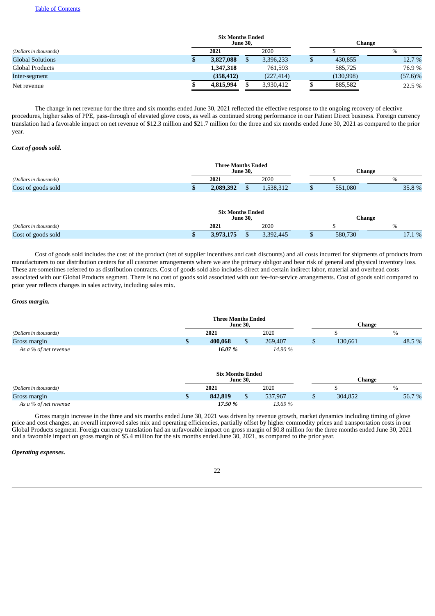### Table of [Contents](#page-0-0)

|                         | <b>Six Months Ended</b><br><b>June 30.</b> |            |  |            |   | Change     |            |  |  |
|-------------------------|--------------------------------------------|------------|--|------------|---|------------|------------|--|--|
| (Dollars in thousands)  |                                            | 2021       |  | 2020       |   |            | $\%$       |  |  |
| <b>Global Solutions</b> |                                            | 3,827,088  |  | 3,396,233  | Č | 430,855    | 12.7 %     |  |  |
| Global Products         |                                            | 1,347,318  |  | 761.593    |   | 585,725    | 76.9 %     |  |  |
| Inter-segment           |                                            | (358, 412) |  | (227, 414) |   | (130, 998) | $(57.6)\%$ |  |  |
| Net revenue             |                                            | 4,815,994  |  | 3,930,412  |   | 885,582    | 22.5 %     |  |  |

The change in net revenue for the three and six months ended June 30, 2021 reflected the effective response to the ongoing recovery of elective procedures, higher sales of PPE, pass-through of elevated glove costs, as well as continued strong performance in our Patient Direct business. Foreign currency translation had a favorable impact on net revenue of \$12.3 million and \$21.7 million for the three and six months ended June 30, 2021 as compared to the prior year.

#### *Cost of goods sold.*

|                        | <b>Three Months Ended</b><br><b>June 30,</b> |           | <b>Change</b> |         |        |  |
|------------------------|----------------------------------------------|-----------|---------------|---------|--------|--|
| (Dollars in thousands) | 2021                                         | 2020      |               |         | %      |  |
| Cost of goods sold     | 2,089,392                                    | 1,538,312 | Č             | 551,080 | 35.8 % |  |
|                        |                                              |           |               |         |        |  |
|                        | <b>Six Months Ended</b><br><b>June 30,</b>   |           | <b>Change</b> |         |        |  |
| (Dollars in thousands) | 2021                                         | 2020      |               |         | %      |  |

Cost of goods sold includes the cost of the product (net of supplier incentives and cash discounts) and all costs incurred for shipments of products from manufacturers to our distribution centers for all customer arrangements where we are the primary obligor and bear risk of general and physical inventory loss. These are sometimes referred to as distribution contracts. Cost of goods sold also includes direct and certain indirect labor, material and overhead costs associated with our Global Products segment. There is no cost of goods sold associated with our fee-for-service arrangements. Cost of goods sold compared to prior year reflects changes in sales activity, including sales mix.

Cost of goods sold **\$ 3,973,175** \$ 3,392,445 \$ 580,730 17.1 %

#### *Gross margin.*

|                        | <b>Three Months Ended</b>                  | <b>June 30,</b> | <b>Change</b> |    |               |        |  |  |
|------------------------|--------------------------------------------|-----------------|---------------|----|---------------|--------|--|--|
| (Dollars in thousands) | 2021                                       |                 | 2020          |    |               | $\%$   |  |  |
| Gross margin           | 400,068                                    | S.              | 269,407       | D  | 130,661       | 48.5 % |  |  |
| As a % of net revenue  | 16.07 %                                    |                 | 14.90 %       |    |               |        |  |  |
|                        | <b>Six Months Ended</b><br><b>June 30,</b> |                 |               |    | <b>Change</b> |        |  |  |
| (Dollars in thousands) | 2021                                       |                 | 2020          |    |               | $\%$   |  |  |
| Gross margin           | 842,819                                    | \$              | 537,967       | Ъ. | 304,852       | 56.7%  |  |  |
| As a % of net revenue  | 17.50 %                                    |                 | 13.69 %       |    |               |        |  |  |

Gross margin increase in the three and six months ended June 30, 2021 was driven by revenue growth, market dynamics including timing of glove price and cost changes, an overall improved sales mix and operating efficiencies, partially offset by higher commodity prices and transportation costs in our Global Products segment. Foreign currency translation had an unfavorable impact on gross margin of \$0.8 million for the three months ended June 30, 2021 and a favorable impact on gross margin of \$5.4 million for the six months ended June 30, 2021, as compared to the prior year.

### *Operating expenses.*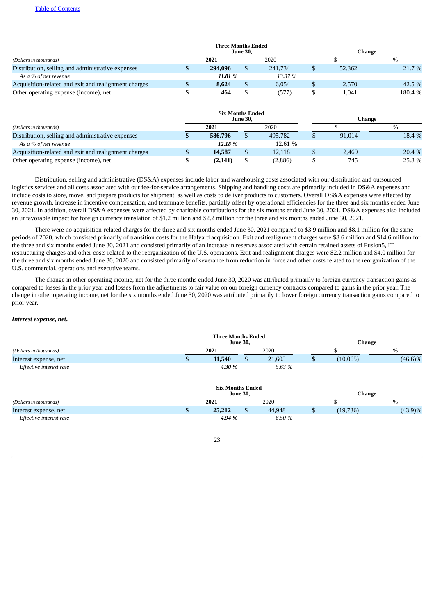|                                                      | <b>Three Months Ended</b><br><b>June 30.</b> |         |  |         |  | Change |         |  |  |
|------------------------------------------------------|----------------------------------------------|---------|--|---------|--|--------|---------|--|--|
| (Dollars in thousands)                               |                                              | 2021    |  | 2020    |  |        | $\%$    |  |  |
| Distribution, selling and administrative expenses    |                                              | 294,096 |  | 241,734 |  | 52,362 | 21.7 %  |  |  |
| As a % of net revenue                                |                                              | 11.81 % |  | 13.37 % |  |        |         |  |  |
| Acquisition-related and exit and realignment charges |                                              | 8.624   |  | 6.054   |  | 2,570  | 42.5 %  |  |  |
| Other operating expense (income), net                |                                              | 464     |  | (577)   |  | 1,041  | 180.4 % |  |  |

|                                                      | <b>Six Months Ended</b> | <b>June 30.</b> |         | Change |        |        |  |
|------------------------------------------------------|-------------------------|-----------------|---------|--------|--------|--------|--|
| (Dollars in thousands)                               | 2021                    |                 | 2020    |        |        | %      |  |
| Distribution, selling and administrative expenses    | 586,796                 |                 | 495,782 |        | 91.014 | 18.4 % |  |
| As a % of net revenue                                | 12.18%                  |                 | 12.61 % |        |        |        |  |
| Acquisition-related and exit and realignment charges | 14,587                  |                 | 12.118  |        | 2.469  | 20.4 % |  |
| Other operating expense (income), net                | (2, 141)                |                 | (2,886) |        | 745    | 25.8 % |  |

Distribution, selling and administrative (DS&A) expenses include labor and warehousing costs associated with our distribution and outsourced logistics services and all costs associated with our fee-for-service arrangements. Shipping and handling costs are primarily included in DS&A expenses and include costs to store, move, and prepare products for shipment, as well as costs to deliver products to customers. Overall DS&A expenses were affected by revenue growth, increase in incentive compensation, and teammate benefits, partially offset by operational efficiencies for the three and six months ended June 30, 2021. In addition, overall DS&A expenses were affected by charitable contributions for the six months ended June 30, 2021. DS&A expenses also included an unfavorable impact for foreign currency translation of \$1.2 million and \$2.2 million for the three and six months ended June 30, 2021.

There were no acquisition-related charges for the three and six months ended June 30, 2021 compared to \$3.9 million and \$8.1 million for the same periods of 2020, which consisted primarily of transition costs for the Halyard acquisition. Exit and realignment charges were \$8.6 million and \$14.6 million for the three and six months ended June 30, 2021 and consisted primarily of an increase in reserves associated with certain retained assets of Fusion5, IT restructuring charges and other costs related to the reorganization of the U.S. operations. Exit and realignment charges were \$2.2 million and \$4.0 million for the three and six months ended June 30, 2020 and consisted primarily of severance from reduction in force and other costs related to the reorganization of the U.S. commercial, operations and executive teams.

The change in other operating income, net for the three months ended June 30, 2020 was attributed primarily to foreign currency transaction gains as compared to losses in the prior year and losses from the adjustments to fair value on our foreign currency contracts compared to gains in the prior year. The change in other operating income, net for the six months ended June 30, 2020 was attributed primarily to lower foreign currency transaction gains compared to prior year.

### *Interest expense, net***.**

|                         |      | <b>Three Months Ended</b><br><b>June 30,</b> |   | Change |   |               |            |
|-------------------------|------|----------------------------------------------|---|--------|---|---------------|------------|
| (Dollars in thousands)  | 2021 |                                              |   | 2020   |   |               | $\%$       |
| Interest expense, net   |      | 11,540                                       | Φ | 21,605 | Φ | (10,065)      | $(46.6)\%$ |
| Effective interest rate |      | 4.30 %                                       |   | 5.63 % |   |               |            |
|                         |      | <b>Six Months Ended</b><br><b>June 30,</b>   |   |        |   | <b>Change</b> |            |

|                         | <b>June 30,</b> |        |           | <b>Change</b> |  |
|-------------------------|-----------------|--------|-----------|---------------|--|
| (Dollars in thousands)  | 2021            | 2020   |           | $\%$          |  |
| Interest expense, net   | 25,212          | 44.948 | (19, 736) | $(43.9)\%$    |  |
| Effective interest rate | 4.94 %          | 6.50 % |           |               |  |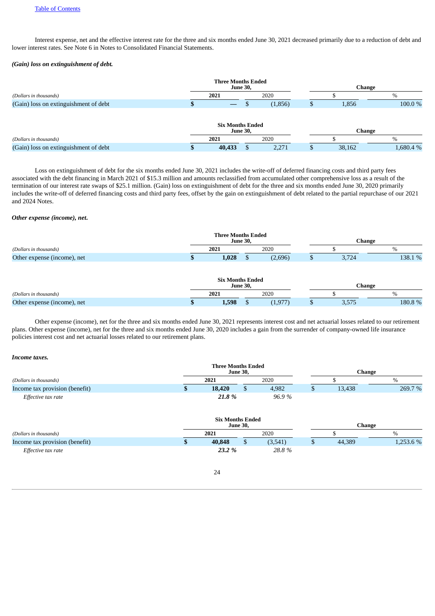Interest expense, net and the effective interest rate for the three and six months ended June 30, 2021 decreased primarily due to a reduction of debt and lower interest rates. See Note 6 in Notes to Consolidated Financial Statements.

#### *(Gain) loss on extinguishment of debt.*

|                                       | <b>Three Months Ended</b> | <b>June 30,</b> |         | Change |               |           |  |
|---------------------------------------|---------------------------|-----------------|---------|--------|---------------|-----------|--|
| (Dollars in thousands)                | 2021                      |                 | 2020    |        |               | %         |  |
| (Gain) loss on extinguishment of debt |                           |                 | (1,856) | Ф      | 1,856         | 100.0%    |  |
|                                       | <b>Six Months Ended</b>   | <b>June 30,</b> |         |        | <b>Change</b> |           |  |
| (Dollars in thousands)                | 2021                      |                 | 2020    |        |               | %         |  |
| (Gain) loss on extinguishment of debt | 40,433                    |                 | 2,271   |        | 38,162        | 1,680.4 % |  |

Loss on extinguishment of debt for the six months ended June 30, 2021 includes the write-off of deferred financing costs and third party fees associated with the debt financing in March 2021 of \$15.3 million and amounts reclassified from accumulated other comprehensive loss as a result of the termination of our interest rate swaps of \$25.1 million. (Gain) loss on extinguishment of debt for the three and six months ended June 30, 2020 primarily includes the write-off of deferred financing costs and third party fees, offset by the gain on extinguishment of debt related to the partial repurchase of our 2021 and 2024 Notes.

### *Other expense (income), net***.**

|                             | <b>Three Months Ended</b>                  | <b>June 30,</b> |         | Change |               |         |  |
|-----------------------------|--------------------------------------------|-----------------|---------|--------|---------------|---------|--|
| (Dollars in thousands)      | 2021                                       |                 | 2020    |        |               | %       |  |
| Other expense (income), net | 1,028                                      | . ა             | (2,696) | J      | 3,724         | 138.1 % |  |
|                             | <b>Six Months Ended</b><br><b>June 30,</b> |                 |         |        | <b>Change</b> |         |  |
| (Dollars in thousands)      | 2021                                       |                 | 2020    |        |               | $\%$    |  |
| Other expense (income), net | 1,598                                      |                 | (1,977) |        | 3,575         | 180.8%  |  |

Other expense (income), net for the three and six months ended June 30, 2021 represents interest cost and net actuarial losses related to our retirement plans. Other expense (income), net for the three and six months ended June 30, 2020 includes a gain from the surrender of company-owned life insurance policies interest cost and net actuarial losses related to our retirement plans.

## *Income taxes.*

|                                |  | <b>Three Months Ended</b> | <b>June 30.</b> |       | Change |        |         |
|--------------------------------|--|---------------------------|-----------------|-------|--------|--------|---------|
| (Dollars in thousands)         |  | 2021                      |                 | 2020  |        |        | $\%$    |
| Income tax provision (benefit) |  | 18,420                    |                 | 4,982 |        | 13.438 | 269.7 % |
| Effective tax rate             |  | 21.8%                     |                 | 96.9% |        |        |         |

|                                | Six Months Ended<br><b>June 30,</b> |        |  |         | Change |        |           |  |  |
|--------------------------------|-------------------------------------|--------|--|---------|--------|--------|-----------|--|--|
| (Dollars in thousands)         |                                     | 2021   |  | 2020    |        |        | $\%$      |  |  |
| Income tax provision (benefit) |                                     | 40.848 |  | (3,541) |        | 44,389 | 1,253.6 % |  |  |
| Effective tax rate             |                                     | 23.2 % |  | 28.8 %  |        |        |           |  |  |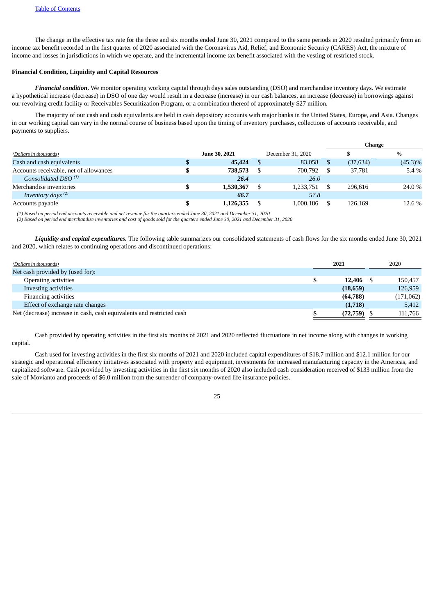The change in the effective tax rate for the three and six months ended June 30, 2021 compared to the same periods in 2020 resulted primarily from an income tax benefit recorded in the first quarter of 2020 associated with the Coronavirus Aid, Relief, and Economic Security (CARES) Act, the mixture of income and losses in jurisdictions in which we operate, and the incremental income tax benefit associated with the vesting of restricted stock.

## **Financial Condition, Liquidity and Capital Resources**

*Financial condition***.** We monitor operating working capital through days sales outstanding (DSO) and merchandise inventory days. We estimate a hypothetical increase (decrease) in DSO of one day would result in a decrease (increase) in our cash balances, an increase (decrease) in borrowings against our revolving credit facility or Receivables Securitization Program, or a combination thereof of approximately \$27 million.

The majority of our cash and cash equivalents are held in cash depository accounts with major banks in the United States, Europe, and Asia. Changes in our working capital can vary in the normal course of business based upon the timing of inventory purchases, collections of accounts receivable, and payments to suppliers.

|                                        |  |                      |                   | Change   |            |
|----------------------------------------|--|----------------------|-------------------|----------|------------|
| (Dollars in thousands)                 |  | <b>June 30, 2021</b> | December 31, 2020 |          | $\%$       |
| Cash and cash equivalents              |  | 45,424               | 83,058            | (37,634) | $(45.3)\%$ |
| Accounts receivable, net of allowances |  | 738,573              | 700.792           | 37.781   | 5.4%       |
| Consolidated DSO <sup>(1)</sup>        |  | 26.4                 | <b>26.0</b>       |          |            |
| Merchandise inventories                |  | 1,530,367            | 1,233,751         | 296.616  | 24.0 %     |
| Inventory days $(2)$                   |  | 66.7                 | 57.8              |          |            |
| Accounts payable                       |  | 1,126,355            | 1.000.186         | 126.169  | 12.6 %     |

(1) Based on period end accounts receivable and net revenue for the quarters ended June 30, 2021 and December 31, 2020

(2) Based on period end merchandise inventories and cost of goods sold for the quarters ended June 30, 2021 and December 31, 2020

*Liquidity and capital expenditures.* The following table summarizes our consolidated statements of cash flows for the six months ended June 30, 2021 and 2020, which relates to continuing operations and discontinued operations:

| (Dollars in thousands)                                                | 2021          | 2020 |           |  |
|-----------------------------------------------------------------------|---------------|------|-----------|--|
| Net cash provided by (used for):                                      |               |      |           |  |
| Operating activities                                                  | 12,406        |      | 150,457   |  |
| Investing activities                                                  | (18, 659)     |      | 126,959   |  |
| <b>Financing activities</b>                                           | (64,788)      |      | (171,062) |  |
| Effect of exchange rate changes                                       | (1,718)       |      | 5,412     |  |
| Net (decrease) increase in cash, cash equivalents and restricted cash | $(72,759)$ \$ |      | 111.766   |  |

Cash provided by operating activities in the first six months of 2021 and 2020 reflected fluctuations in net income along with changes in working capital.

Cash used for investing activities in the first six months of 2021 and 2020 included capital expenditures of \$18.7 million and \$12.1 million for our strategic and operational efficiency initiatives associated with property and equipment, investments for increased manufacturing capacity in the Americas, and capitalized software. Cash provided by investing activities in the first six months of 2020 also included cash consideration received of \$133 million from the sale of Movianto and proceeds of \$6.0 million from the surrender of company-owned life insurance policies.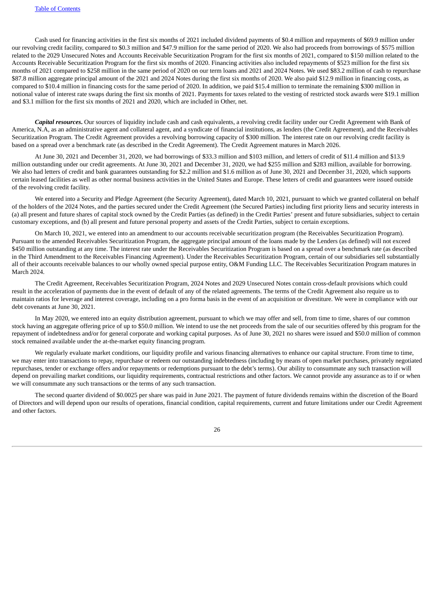Cash used for financing activities in the first six months of 2021 included dividend payments of \$0.4 million and repayments of \$69.9 million under our revolving credit facility, compared to \$0.3 million and \$47.9 million for the same period of 2020. We also had proceeds from borrowings of \$575 million related to the 2029 Unsecured Notes and Accounts Receivable Securitization Program for the first six months of 2021, compared to \$150 million related to the Accounts Receivable Securitization Program for the first six months of 2020. Financing activities also included repayments of \$523 million for the first six months of 2021 compared to \$258 million in the same period of 2020 on our term loans and 2021 and 2024 Notes. We used \$83.2 million of cash to repurchase \$87.8 million aggregate principal amount of the 2021 and 2024 Notes during the first six months of 2020. We also paid \$12.9 million in financing costs, as compared to \$10.4 million in financing costs for the same period of 2020. In addition, we paid \$15.4 million to terminate the remaining \$300 million in notional value of interest rate swaps during the first six months of 2021. Payments for taxes related to the vesting of restricted stock awards were \$19.1 million and \$3.1 million for the first six months of 2021 and 2020, which are included in Other, net.

*Capital resources***.** Our sources of liquidity include cash and cash equivalents, a revolving credit facility under our Credit Agreement with Bank of America, N.A, as an administrative agent and collateral agent, and a syndicate of financial institutions, as lenders (the Credit Agreement), and the Receivables Securitization Program. The Credit Agreement provides a revolving borrowing capacity of \$300 million. The interest rate on our revolving credit facility is based on a spread over a benchmark rate (as described in the Credit Agreement). The Credit Agreement matures in March 2026.

At June 30, 2021 and December 31, 2020, we had borrowings of \$33.3 million and \$103 million, and letters of credit of \$11.4 million and \$13.9 million outstanding under our credit agreements. At June 30, 2021 and December 31, 2020, we had \$255 million and \$283 million, available for borrowing. We also had letters of credit and bank guarantees outstanding for \$2.2 million and \$1.6 million as of June 30, 2021 and December 31, 2020, which supports certain leased facilities as well as other normal business activities in the United States and Europe. These letters of credit and guarantees were issued outside of the revolving credit facility.

We entered into a Security and Pledge Agreement (the Security Agreement), dated March 10, 2021, pursuant to which we granted collateral on behalf of the holders of the 2024 Notes, and the parties secured under the Credit Agreement (the Secured Parties) including first priority liens and security interests in (a) all present and future shares of capital stock owned by the Credit Parties (as defined) in the Credit Parties' present and future subsidiaries, subject to certain customary exceptions, and (b) all present and future personal property and assets of the Credit Parties, subject to certain exceptions.

On March 10, 2021, we entered into an amendment to our accounts receivable securitization program (the Receivables Securitization Program). Pursuant to the amended Receivables Securitization Program, the aggregate principal amount of the loans made by the Lenders (as defined) will not exceed \$450 million outstanding at any time. The interest rate under the Receivables Securitization Program is based on a spread over a benchmark rate (as described in the Third Amendment to the Receivables Financing Agreement). Under the Receivables Securitization Program, certain of our subsidiaries sell substantially all of their accounts receivable balances to our wholly owned special purpose entity, O&M Funding LLC. The Receivables Securitization Program matures in March 2024.

The Credit Agreement, Receivables Securitization Program, 2024 Notes and 2029 Unsecured Notes contain cross-default provisions which could result in the acceleration of payments due in the event of default of any of the related agreements. The terms of the Credit Agreement also require us to maintain ratios for leverage and interest coverage, including on a pro forma basis in the event of an acquisition or divestiture. We were in compliance with our debt covenants at June 30, 2021.

In May 2020, we entered into an equity distribution agreement, pursuant to which we may offer and sell, from time to time, shares of our common stock having an aggregate offering price of up to \$50.0 million. We intend to use the net proceeds from the sale of our securities offered by this program for the repayment of indebtedness and/or for general corporate and working capital purposes. As of June 30, 2021 no shares were issued and \$50.0 million of common stock remained available under the at-the-market equity financing program.

We regularly evaluate market conditions, our liquidity profile and various financing alternatives to enhance our capital structure. From time to time, we may enter into transactions to repay, repurchase or redeem our outstanding indebtedness (including by means of open market purchases, privately negotiated repurchases, tender or exchange offers and/or repayments or redemptions pursuant to the debt's terms). Our ability to consummate any such transaction will depend on prevailing market conditions, our liquidity requirements, contractual restrictions and other factors. We cannot provide any assurance as to if or when we will consummate any such transactions or the terms of any such transaction.

The second quarter dividend of \$0.0025 per share was paid in June 2021. The payment of future dividends remains within the discretion of the Board of Directors and will depend upon our results of operations, financial condition, capital requirements, current and future limitations under our Credit Agreement and other factors.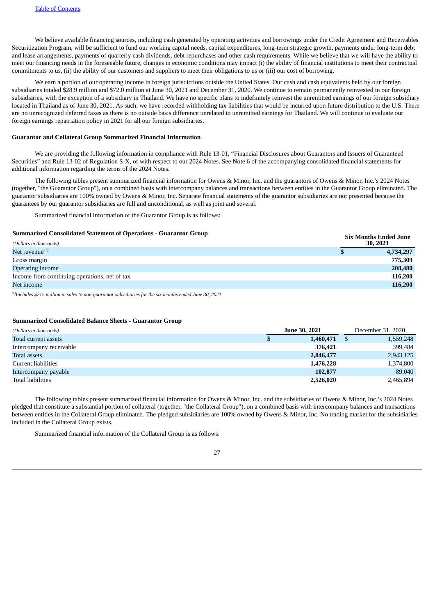We believe available financing sources, including cash generated by operating activities and borrowings under the Credit Agreement and Receivables Securitization Program, will be sufficient to fund our working capital needs, capital expenditures, long-term strategic growth, payments under long-term debt and lease arrangements, payments of quarterly cash dividends, debt repurchases and other cash requirements. While we believe that we will have the ability to meet our financing needs in the foreseeable future, changes in economic conditions may impact (i) the ability of financial institutions to meet their contractual commitments to us, (ii) the ability of our customers and suppliers to meet their obligations to us or (iii) our cost of borrowing.

We earn a portion of our operating income in foreign jurisdictions outside the United States. Our cash and cash equivalents held by our foreign subsidiaries totaled \$28.9 million and \$72.0 million at June 30, 2021 and December 31, 2020. We continue to remain permanently reinvested in our foreign subsidiaries, with the exception of a subsidiary in Thailand. We have no specific plans to indefinitely reinvest the unremitted earnings of our foreign subsidiary located in Thailand as of June 30, 2021. As such, we have recorded withholding tax liabilities that would be incurred upon future distribution to the U.S. There are no unrecognized deferred taxes as there is no outside basis difference unrelated to unremitted earnings for Thailand. We will continue to evaluate our foreign earnings repatriation policy in 2021 for all our foreign subsidiaries.

#### **Guarantor and Collateral Group Summarized Financial Information**

We are providing the following information in compliance with Rule 13-01, "Financial Disclosures about Guarantors and Issuers of Guaranteed Securities" and Rule 13-02 of Regulation S-X, of with respect to our 2024 Notes. See Note 6 of the accompanying consolidated financial statements for additional information regarding the terms of the 2024 Notes.

The following tables present summarized financial information for Owens & Minor, Inc. and the guarantors of Owens & Minor, Inc.'s 2024 Notes (together, "the Guarantor Group"), on a combined basis with intercompany balances and transactions between entities in the Guarantor Group eliminated. The guarantor subsidiaries are 100% owned by Owens & Minor, Inc. Separate financial statements of the guarantor subsidiaries are not presented because the guarantees by our guarantor subsidiaries are full and unconditional, as well as joint and several.

Summarized financial information of the Guarantor Group is as follows:

#### **Summarized Consolidated Statement of Operations - Guarantor Group**

| (Dollars in thousands)                        | эіл ічниція ениси типс<br>30, 2021 |
|-----------------------------------------------|------------------------------------|
| Net revenue $^{(1)}$                          | 4,734,297                          |
| Gross margin                                  | 775,309                            |
| Operating income                              | 208,480                            |
| Income from continuing operations, net of tax | 116,200                            |
| Net income                                    | 116,200                            |

**Six Months Ended June**

*Includes \$215 million in sales to non-guarantor subsidiaries for the six months ended June 30, 2021. (1)*

## **Summarized Consolidated Balance Sheets - Guarantor Group**

| (Dollars in thousands)  | <b>June 30, 2021</b> | December 31, 2020 |
|-------------------------|----------------------|-------------------|
| Total current assets    | 1,460,471            | 1,559,248         |
| Intercompany receivable | 376,421              | 399.484           |
| Total assets            | 2,846,477            | 2,943,125         |
| Current liabilities     | 1,476,228            | 1,374,800         |
| Intercompany payable    | 102,877              | 89,040            |
| Total liabilities       | 2,526,020            | 2,465,894         |

The following tables present summarized financial information for Owens & Minor, Inc. and the subsidiaries of Owens & Minor, Inc.'s 2024 Notes pledged that constitute a substantial portion of collateral (together, "the Collateral Group"), on a combined basis with intercompany balances and transactions between entities in the Collateral Group eliminated. The pledged subsidiaries are 100% owned by Owens & Minor, Inc. No trading market for the subsidiaries included in the Collateral Group exists.

Summarized financial information of the Collateral Group is as follows: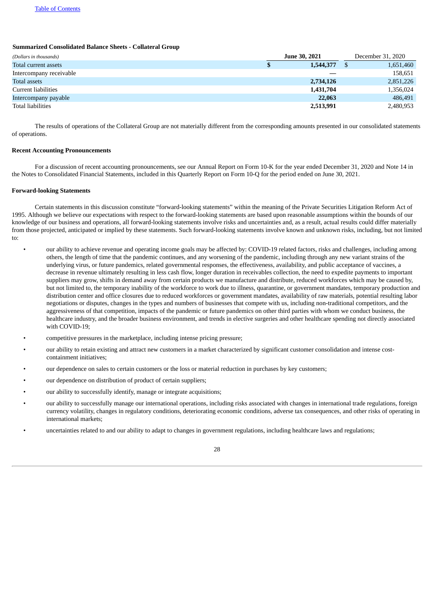# **Summarized Consolidated Balance Sheets - Collateral Group**

| (Dollars in thousands)  | <b>June 30, 2021</b> |           |  | December 31, 2020 |
|-------------------------|----------------------|-----------|--|-------------------|
| Total current assets    |                      | 1,544,377 |  | 1,651,460         |
| Intercompany receivable |                      |           |  | 158,651           |
| Total assets            |                      | 2,734,126 |  | 2,851,226         |
| Current liabilities     |                      | 1,431,704 |  | 1,356,024         |
| Intercompany payable    |                      | 22,063    |  | 486,491           |
| Total liabilities       |                      | 2,513,991 |  | 2,480,953         |

The results of operations of the Collateral Group are not materially different from the corresponding amounts presented in our consolidated statements of operations.

## **Recent Accounting Pronouncements**

For a discussion of recent accounting pronouncements, see our Annual Report on Form 10-K for the year ended December 31, 2020 and Note 14 in the Notes to Consolidated Financial Statements, included in this Quarterly Report on Form 10-Q for the period ended on June 30, 2021.

### **Forward-looking Statements**

Certain statements in this discussion constitute "forward-looking statements" within the meaning of the Private Securities Litigation Reform Act of 1995. Although we believe our expectations with respect to the forward-looking statements are based upon reasonable assumptions within the bounds of our knowledge of our business and operations, all forward-looking statements involve risks and uncertainties and, as a result, actual results could differ materially from those projected, anticipated or implied by these statements. Such forward-looking statements involve known and unknown risks, including, but not limited to:

- our ability to achieve revenue and operating income goals may be affected by: COVID-19 related factors, risks and challenges, including among others, the length of time that the pandemic continues, and any worsening of the pandemic, including through any new variant strains of the underlying virus, or future pandemics, related governmental responses, the effectiveness, availability, and public acceptance of vaccines, a decrease in revenue ultimately resulting in less cash flow, longer duration in receivables collection, the need to expedite payments to important suppliers may grow, shifts in demand away from certain products we manufacture and distribute, reduced workforces which may be caused by, but not limited to, the temporary inability of the workforce to work due to illness, quarantine, or government mandates, temporary production and distribution center and office closures due to reduced workforces or government mandates, availability of raw materials, potential resulting labor negotiations or disputes, changes in the types and numbers of businesses that compete with us, including non-traditional competitors, and the aggressiveness of that competition, impacts of the pandemic or future pandemics on other third parties with whom we conduct business, the healthcare industry, and the broader business environment, and trends in elective surgeries and other healthcare spending not directly associated with COVID-19;
- competitive pressures in the marketplace, including intense pricing pressure;
- our ability to retain existing and attract new customers in a market characterized by significant customer consolidation and intense costcontainment initiatives;
- our dependence on sales to certain customers or the loss or material reduction in purchases by key customers;
- our dependence on distribution of product of certain suppliers;
- our ability to successfully identify, manage or integrate acquisitions;
- our ability to successfully manage our international operations, including risks associated with changes in international trade regulations, foreign currency volatility, changes in regulatory conditions, deteriorating economic conditions, adverse tax consequences, and other risks of operating in international markets;
- uncertainties related to and our ability to adapt to changes in government regulations, including healthcare laws and regulations;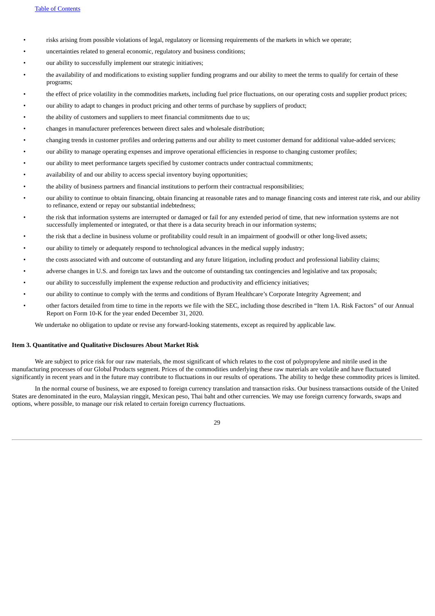- risks arising from possible violations of legal, regulatory or licensing requirements of the markets in which we operate;
- uncertainties related to general economic, regulatory and business conditions;
- our ability to successfully implement our strategic initiatives;
- the availability of and modifications to existing supplier funding programs and our ability to meet the terms to qualify for certain of these programs;
- the effect of price volatility in the commodities markets, including fuel price fluctuations, on our operating costs and supplier product prices;
- our ability to adapt to changes in product pricing and other terms of purchase by suppliers of product;
- the ability of customers and suppliers to meet financial commitments due to us;
- changes in manufacturer preferences between direct sales and wholesale distribution;
- changing trends in customer profiles and ordering patterns and our ability to meet customer demand for additional value-added services;
- our ability to manage operating expenses and improve operational efficiencies in response to changing customer profiles;
- our ability to meet performance targets specified by customer contracts under contractual commitments;
- availability of and our ability to access special inventory buying opportunities;
- the ability of business partners and financial institutions to perform their contractual responsibilities;
- our ability to continue to obtain financing, obtain financing at reasonable rates and to manage financing costs and interest rate risk, and our ability to refinance, extend or repay our substantial indebtedness;
- the risk that information systems are interrupted or damaged or fail for any extended period of time, that new information systems are not successfully implemented or integrated, or that there is a data security breach in our information systems;
- the risk that a decline in business volume or profitability could result in an impairment of goodwill or other long-lived assets;
- our ability to timely or adequately respond to technological advances in the medical supply industry;
- the costs associated with and outcome of outstanding and any future litigation, including product and professional liability claims;
- adverse changes in U.S. and foreign tax laws and the outcome of outstanding tax contingencies and legislative and tax proposals;
- our ability to successfully implement the expense reduction and productivity and efficiency initiatives;
- our ability to continue to comply with the terms and conditions of Byram Healthcare's Corporate Integrity Agreement; and
- other factors detailed from time to time in the reports we file with the SEC, including those described in "Item 1A. Risk Factors" of our Annual Report on Form 10-K for the year ended December 31, 2020.

We undertake no obligation to update or revise any forward-looking statements, except as required by applicable law.

### <span id="page-28-0"></span>**Item 3. Quantitative and Qualitative Disclosures About Market Risk**

We are subject to price risk for our raw materials, the most significant of which relates to the cost of polypropylene and nitrile used in the manufacturing processes of our Global Products segment. Prices of the commodities underlying these raw materials are volatile and have fluctuated significantly in recent years and in the future may contribute to fluctuations in our results of operations. The ability to hedge these commodity prices is limited.

In the normal course of business, we are exposed to foreign currency translation and transaction risks. Our business transactions outside of the United States are denominated in the euro, Malaysian ringgit, Mexican peso, Thai baht and other currencies. We may use foreign currency forwards, swaps and options, where possible, to manage our risk related to certain foreign currency fluctuations.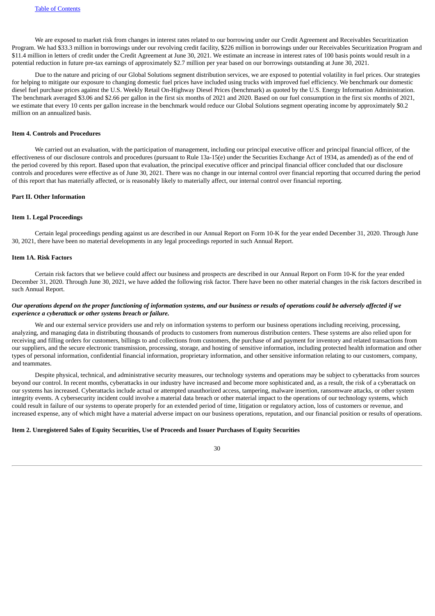We are exposed to market risk from changes in interest rates related to our borrowing under our Credit Agreement and Receivables Securitization Program. We had \$33.3 million in borrowings under our revolving credit facility, \$226 million in borrowings under our Receivables Securitization Program and \$11.4 million in letters of credit under the Credit Agreement at June 30, 2021. We estimate an increase in interest rates of 100 basis points would result in a potential reduction in future pre-tax earnings of approximately \$2.7 million per year based on our borrowings outstanding at June 30, 2021.

Due to the nature and pricing of our Global Solutions segment distribution services, we are exposed to potential volatility in fuel prices. Our strategies for helping to mitigate our exposure to changing domestic fuel prices have included using trucks with improved fuel efficiency. We benchmark our domestic diesel fuel purchase prices against the U.S. Weekly Retail On-Highway Diesel Prices (benchmark) as quoted by the U.S. Energy Information Administration. The benchmark averaged \$3.06 and \$2.66 per gallon in the first six months of 2021 and 2020. Based on our fuel consumption in the first six months of 2021, we estimate that every 10 cents per gallon increase in the benchmark would reduce our Global Solutions segment operating income by approximately \$0.2 million on an annualized basis.

### <span id="page-29-0"></span>**Item 4. Controls and Procedures**

We carried out an evaluation, with the participation of management, including our principal executive officer and principal financial officer, of the effectiveness of our disclosure controls and procedures (pursuant to Rule 13a-15(e) under the Securities Exchange Act of 1934, as amended) as of the end of the period covered by this report. Based upon that evaluation, the principal executive officer and principal financial officer concluded that our disclosure controls and procedures were effective as of June 30, 2021. There was no change in our internal control over financial reporting that occurred during the period of this report that has materially affected, or is reasonably likely to materially affect, our internal control over financial reporting.

### <span id="page-29-1"></span>**Part II. Other Information**

#### <span id="page-29-2"></span>**Item 1. Legal Proceedings**

Certain legal proceedings pending against us are described in our Annual Report on Form 10-K for the year ended December 31, 2020. Through June 30, 2021, there have been no material developments in any legal proceedings reported in such Annual Report.

#### <span id="page-29-3"></span>**Item 1A. Risk Factors**

Certain risk factors that we believe could affect our business and prospects are described in our Annual Report on Form 10-K for the year ended December 31, 2020. Through June 30, 2021, we have added the following risk factor. There have been no other material changes in the risk factors described in such Annual Report.

### Our operations depend on the proper functioning of information systems, and our business or results of operations could be adversely affected if we *experience a cyberattack or other systems breach or failure.*

We and our external service providers use and rely on information systems to perform our business operations including receiving, processing, analyzing, and managing data in distributing thousands of products to customers from numerous distribution centers. These systems are also relied upon for receiving and filling orders for customers, billings to and collections from customers, the purchase of and payment for inventory and related transactions from our suppliers, and the secure electronic transmission, processing, storage, and hosting of sensitive information, including protected health information and other types of personal information, confidential financial information, proprietary information, and other sensitive information relating to our customers, company, and teammates.

Despite physical, technical, and administrative security measures, our technology systems and operations may be subject to cyberattacks from sources beyond our control. In recent months, cyberattacks in our industry have increased and become more sophisticated and, as a result, the risk of a cyberattack on our systems has increased. Cyberattacks include actual or attempted unauthorized access, tampering, malware insertion, ransomware attacks, or other system integrity events. A cybersecurity incident could involve a material data breach or other material impact to the operations of our technology systems, which could result in failure of our systems to operate properly for an extended period of time, litigation or regulatory action, loss of customers or revenue, and increased expense, any of which might have a material adverse impact on our business operations, reputation, and our financial position or results of operations.

## <span id="page-29-4"></span>**Item 2. Unregistered Sales of Equity Securities, Use of Proceeds and Issuer Purchases of Equity Securities**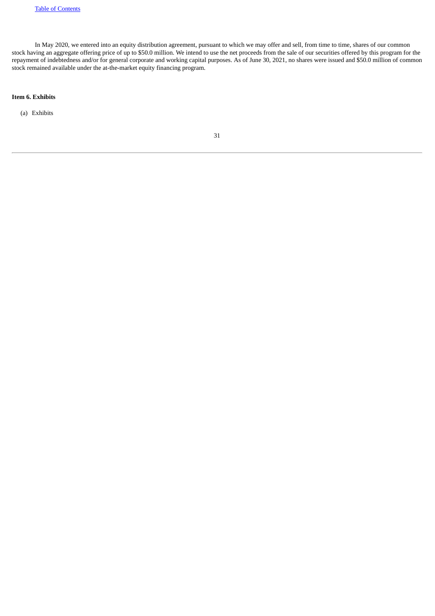In May 2020, we entered into an equity distribution agreement, pursuant to which we may offer and sell, from time to time, shares of our common stock having an aggregate offering price of up to \$50.0 million. We intend to use the net proceeds from the sale of our securities offered by this program for the repayment of indebtedness and/or for general corporate and working capital purposes. As of June 30, 2021, no shares were issued and \$50.0 million of common stock remained available under the at-the-market equity financing program.

## <span id="page-30-0"></span>**Item 6. Exhibits**

(a) Exhibits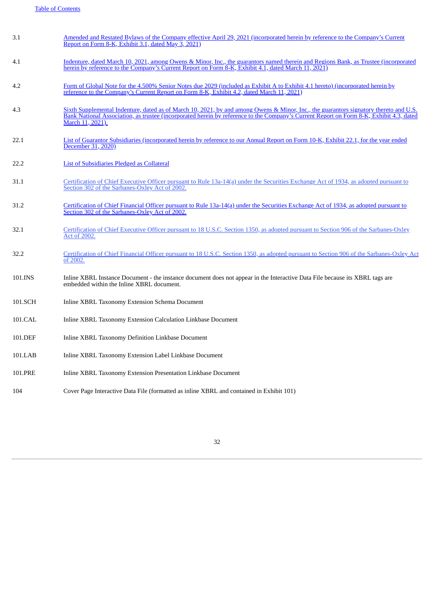- 3.1 Amended and Restated Bylaws of the Company effective April 29, 2021 [\(incorporated](https://www.sec.gov/Archives/edgar/data/75252/000007525221000079/omibylawsrev4-29x213.htm) herein by reference to the Company's Current Report on Form 8-K, Exhibit 3.1, dated May 3, 2021)
- 4.1 Indenture, dated March 10, 2021, among Owens & Minor, Inc., the guarantors named therein and Regions Bank, as Trustee [\(incorporated](https://www.sec.gov/Archives/edgar/data/75252/000119312521077819/d146643dex41.htm) herein by reference to the Company's Current Report on Form 8-K, Exhibit 4.1, dated March 11, 2021)
- 4.2 Form of Global Note for the 4.500% Senior Notes due 2029 (included as Exhibit A to Exhibit 4.1 hereto) [\(incorporated](https://www.sec.gov/Archives/edgar/data/75252/000119312521077819/d146643dex41.htm) herein by reference to the Company's Current Report on Form 8-K, Exhibit 4.2, dated March 11, 2021)
- 4.3 Sixth [Supplemental](https://www.sec.gov/Archives/edgar/data/75252/000119312521077819/d146643dex43.htm) Indenture, dated as of March 10, 2021, by and among Owens & Minor, Inc., the guarantors signatory thereto and U.S. Bank National Association, as trustee (incorporated herein by reference to the Company's Current Report on Form 8-K, Exhibit 4.3, dated March 11, 2021).
- 22.1 List of Guarantor Subsidiaries [\(incorporated](https://www.sec.gov/Archives/edgar/data/75252/000007525221000034/exhibit221-guarantorsubs12.htm) herein by reference to our Annual Report on Form 10-K, Exhibit 22.1, for the year ended December 31, 2020)
- 22.2 List of [Subsidiaries](#page-33-0) Pledged as Collateral
- 31.1 Certification of Chief Executive Officer pursuant to Rule 13a-14(a) under the Securities Exchange Act of 1934, as adopted pursuant to Section 302 of the [Sarbanes-Oxley](#page-35-0) Act of 2002.
- 31.2 Certification of Chief Financial Officer pursuant to Rule 13a-14(a) under the Securities Exchange Act of 1934, as adopted pursuant to Section 302 of the [Sarbanes-Oxley](#page-36-0) Act of 2002.
- 32.1 Certification of Chief Executive Officer pursuant to 18 U.S.C. Section 1350, as adopted pursuant to Section 906 of the [Sarbanes-Oxley](#page-37-0) Act of 2002.
- 32.2 Certification of Chief Financial Officer pursuant to 18 U.S.C. Section 1350, as adopted pursuant to Section 906 of the [Sarbanes-Oxley](#page-38-0) Act of 2002.
- 101.INS Inline XBRL Instance Document the instance document does not appear in the Interactive Data File because its XBRL tags are embedded within the Inline XBRL document.
- 101.SCH Inline XBRL Taxonomy Extension Schema Document
- 101.CAL Inline XBRL Taxonomy Extension Calculation Linkbase Document
- 101.DEF Inline XBRL Taxonomy Definition Linkbase Document
- 101.LAB Inline XBRL Taxonomy Extension Label Linkbase Document
- 101.PRE Inline XBRL Taxonomy Extension Presentation Linkbase Document
- 104 Cover Page Interactive Data File (formatted as inline XBRL and contained in Exhibit 101)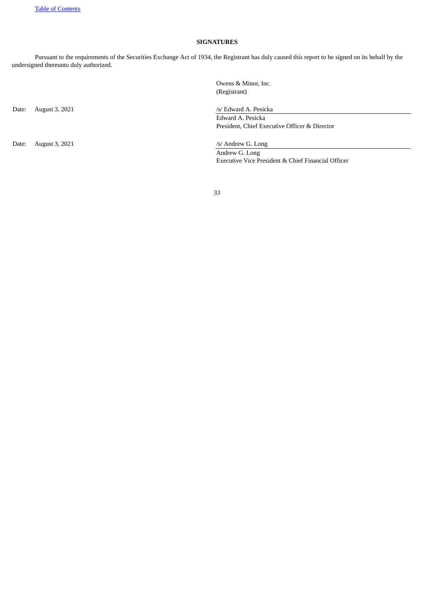# **SIGNATURES**

Pursuant to the requirements of the Securities Exchange Act of 1934, the Registrant has duly caused this report to be signed on its behalf by the undersigned thereunto duly authorized.

Date: August 3, 2021 /s/ Edward A. Pesicka

Date: August 3, 2021 /s/ Andrew G. Long

Owens & Minor, Inc. (Registrant)

Edward A. Pesicka President, Chief Executive Officer & Director

Andrew G. Long Executive Vice President & Chief Financial Officer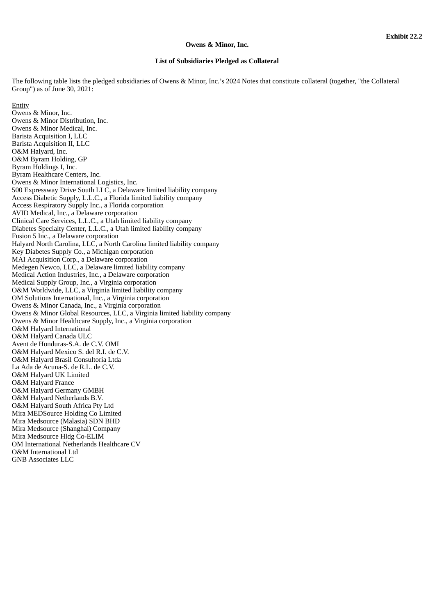### **Owens & Minor, Inc.**

### **List of Subsidiaries Pledged as Collateral**

<span id="page-33-0"></span>The following table lists the pledged subsidiaries of Owens & Minor, Inc.'s 2024 Notes that constitute collateral (together, "the Collateral Group") as of June 30, 2021:

# Entity

Owens & Minor, Inc. Owens & Minor Distribution, Inc. Owens & Minor Medical, Inc. Barista Acquisition I, LLC Barista Acquisition II, LLC O&M Halyard, Inc. O&M Byram Holding, GP Byram Holdings I, Inc. Byram Healthcare Centers, Inc. Owens & Minor International Logistics, Inc. 500 Expressway Drive South LLC, a Delaware limited liability company Access Diabetic Supply, L.L.C., a Florida limited liability company Access Respiratory Supply Inc., a Florida corporation AVID Medical, Inc., a Delaware corporation Clinical Care Services, L.L.C., a Utah limited liability company Diabetes Specialty Center, L.L.C., a Utah limited liability company Fusion 5 Inc., a Delaware corporation Halyard North Carolina, LLC, a North Carolina limited liability company Key Diabetes Supply Co., a Michigan corporation MAI Acquisition Corp., a Delaware corporation Medegen Newco, LLC, a Delaware limited liability company Medical Action Industries, Inc., a Delaware corporation Medical Supply Group, Inc., a Virginia corporation O&M Worldwide, LLC, a Virginia limited liability company OM Solutions International, Inc., a Virginia corporation Owens & Minor Canada, Inc., a Virginia corporation Owens & Minor Global Resources, LLC, a Virginia limited liability company Owens & Minor Healthcare Supply, Inc., a Virginia corporation O&M Halyard International O&M Halyard Canada ULC Avent de Honduras-S.A. de C.V. OMI O&M Halyard Mexico S. del R.I. de C.V. O&M Halyard Brasil Consultoria Ltda La Ada de Acuna-S. de R.L. de C.V. O&M Halyard UK Limited O&M Halyard France O&M Halyard Germany GMBH O&M Halyard Netherlands B.V. O&M Halyard South Africa Pty Ltd Mira MEDSource Holding Co Limited Mira Medsource (Malasia) SDN BHD Mira Medsource (Shanghai) Company Mira Medsource Hldg Co-ELIM OM International Netherlands Healthcare CV O&M International Ltd

GNB Associates LLC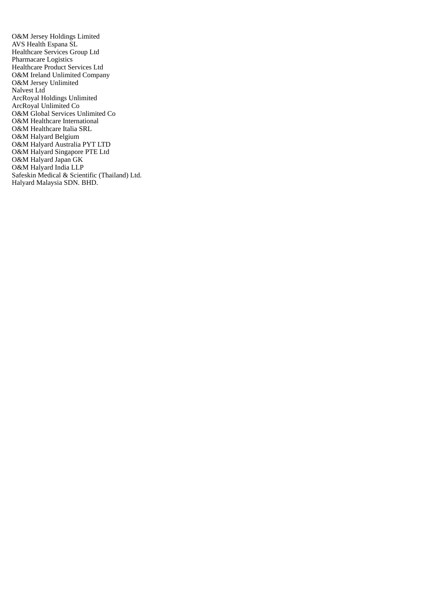O&M Jersey Holdings Limited AVS Health Espana SL Healthcare Services Group Ltd Pharmacare Logistics Healthcare Product Services Ltd O&M Ireland Unlimited Company O&M Jersey Unlimited Nalvest Ltd ArcRoyal Holdings Unlimited ArcRoyal Unlimited Co O&M Global Services Unlimited Co O&M Healthcare International O&M Healthcare Italia SRL O&M Halyard Belgium O&M Halyard Australia PYT LTD O&M Halyard Singapore PTE Ltd O&M Halyard Japan GK O&M Halyard India LLP Safeskin Medical & Scientific (Thailand) Ltd. Halyard Malaysia SDN. BHD.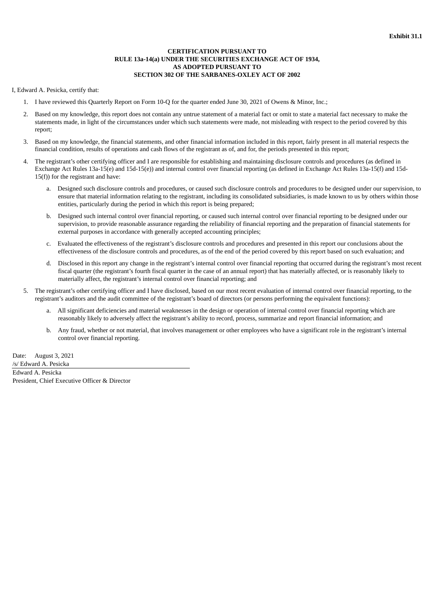## **CERTIFICATION PURSUANT TO RULE 13a-14(a) UNDER THE SECURITIES EXCHANGE ACT OF 1934, AS ADOPTED PURSUANT TO SECTION 302 OF THE SARBANES-OXLEY ACT OF 2002**

## <span id="page-35-0"></span>I, Edward A. Pesicka, certify that:

- 1. I have reviewed this Quarterly Report on Form 10-Q for the quarter ended June 30, 2021 of Owens & Minor, Inc.;
- 2. Based on my knowledge, this report does not contain any untrue statement of a material fact or omit to state a material fact necessary to make the statements made, in light of the circumstances under which such statements were made, not misleading with respect to the period covered by this report;
- 3. Based on my knowledge, the financial statements, and other financial information included in this report, fairly present in all material respects the financial condition, results of operations and cash flows of the registrant as of, and for, the periods presented in this report;
- 4. The registrant's other certifying officer and I are responsible for establishing and maintaining disclosure controls and procedures (as defined in Exchange Act Rules 13a-15(e) and 15d-15(e)) and internal control over financial reporting (as defined in Exchange Act Rules 13a-15(f) and 15d- $15(f)$ ) for the registrant and have:
	- a. Designed such disclosure controls and procedures, or caused such disclosure controls and procedures to be designed under our supervision, to ensure that material information relating to the registrant, including its consolidated subsidiaries, is made known to us by others within those entities, particularly during the period in which this report is being prepared;
	- b. Designed such internal control over financial reporting, or caused such internal control over financial reporting to be designed under our supervision, to provide reasonable assurance regarding the reliability of financial reporting and the preparation of financial statements for external purposes in accordance with generally accepted accounting principles;
	- c. Evaluated the effectiveness of the registrant's disclosure controls and procedures and presented in this report our conclusions about the effectiveness of the disclosure controls and procedures, as of the end of the period covered by this report based on such evaluation; and
	- d. Disclosed in this report any change in the registrant's internal control over financial reporting that occurred during the registrant's most recent fiscal quarter (the registrant's fourth fiscal quarter in the case of an annual report) that has materially affected, or is reasonably likely to materially affect, the registrant's internal control over financial reporting; and
- 5. The registrant's other certifying officer and I have disclosed, based on our most recent evaluation of internal control over financial reporting, to the registrant's auditors and the audit committee of the registrant's board of directors (or persons performing the equivalent functions):
	- a. All significant deficiencies and material weaknesses in the design or operation of internal control over financial reporting which are reasonably likely to adversely affect the registrant's ability to record, process, summarize and report financial information; and
	- b. Any fraud, whether or not material, that involves management or other employees who have a significant role in the registrant's internal control over financial reporting.

Date: August 3, 2021 /s/ Edward A. Pesicka Edward A. Pesicka President, Chief Executive Officer & Director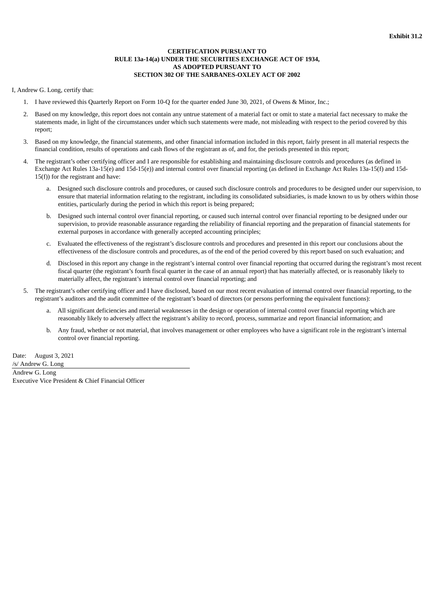## **CERTIFICATION PURSUANT TO RULE 13a-14(a) UNDER THE SECURITIES EXCHANGE ACT OF 1934, AS ADOPTED PURSUANT TO SECTION 302 OF THE SARBANES-OXLEY ACT OF 2002**

<span id="page-36-0"></span>I, Andrew G. Long, certify that:

- 1. I have reviewed this Quarterly Report on Form 10-Q for the quarter ended June 30, 2021, of Owens & Minor, Inc.;
- 2. Based on my knowledge, this report does not contain any untrue statement of a material fact or omit to state a material fact necessary to make the statements made, in light of the circumstances under which such statements were made, not misleading with respect to the period covered by this report;
- 3. Based on my knowledge, the financial statements, and other financial information included in this report, fairly present in all material respects the financial condition, results of operations and cash flows of the registrant as of, and for, the periods presented in this report;
- 4. The registrant's other certifying officer and I are responsible for establishing and maintaining disclosure controls and procedures (as defined in Exchange Act Rules 13a-15(e) and 15d-15(e)) and internal control over financial reporting (as defined in Exchange Act Rules 13a-15(f) and 15d- $15(f)$ ) for the registrant and have:
	- a. Designed such disclosure controls and procedures, or caused such disclosure controls and procedures to be designed under our supervision, to ensure that material information relating to the registrant, including its consolidated subsidiaries, is made known to us by others within those entities, particularly during the period in which this report is being prepared;
	- b. Designed such internal control over financial reporting, or caused such internal control over financial reporting to be designed under our supervision, to provide reasonable assurance regarding the reliability of financial reporting and the preparation of financial statements for external purposes in accordance with generally accepted accounting principles;
	- c. Evaluated the effectiveness of the registrant's disclosure controls and procedures and presented in this report our conclusions about the effectiveness of the disclosure controls and procedures, as of the end of the period covered by this report based on such evaluation; and
	- d. Disclosed in this report any change in the registrant's internal control over financial reporting that occurred during the registrant's most recent fiscal quarter (the registrant's fourth fiscal quarter in the case of an annual report) that has materially affected, or is reasonably likely to materially affect, the registrant's internal control over financial reporting; and
- 5. The registrant's other certifying officer and I have disclosed, based on our most recent evaluation of internal control over financial reporting, to the registrant's auditors and the audit committee of the registrant's board of directors (or persons performing the equivalent functions):
	- a. All significant deficiencies and material weaknesses in the design or operation of internal control over financial reporting which are reasonably likely to adversely affect the registrant's ability to record, process, summarize and report financial information; and
	- b. Any fraud, whether or not material, that involves management or other employees who have a significant role in the registrant's internal control over financial reporting.

Date: August 3, 2021 /s/ Andrew G. Long Andrew G. Long Executive Vice President & Chief Financial Officer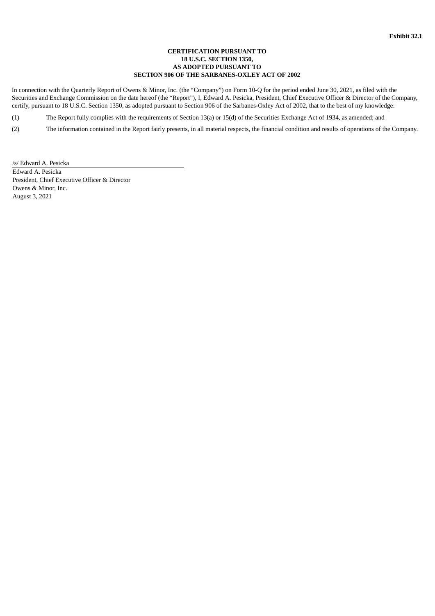## **CERTIFICATION PURSUANT TO 18 U.S.C. SECTION 1350, AS ADOPTED PURSUANT TO SECTION 906 OF THE SARBANES-OXLEY ACT OF 2002**

<span id="page-37-0"></span>In connection with the Quarterly Report of Owens & Minor, Inc. (the "Company") on Form 10-Q for the period ended June 30, 2021, as filed with the Securities and Exchange Commission on the date hereof (the "Report"), I, Edward A. Pesicka, President, Chief Executive Officer & Director of the Company, certify, pursuant to 18 U.S.C. Section 1350, as adopted pursuant to Section 906 of the Sarbanes-Oxley Act of 2002, that to the best of my knowledge:

(1) The Report fully complies with the requirements of Section 13(a) or 15(d) of the Securities Exchange Act of 1934, as amended; and

(2) The information contained in the Report fairly presents, in all material respects, the financial condition and results of operations of the Company.

/s/ Edward A. Pesicka Edward A. Pesicka President, Chief Executive Officer & Director Owens & Minor, Inc. August 3, 2021